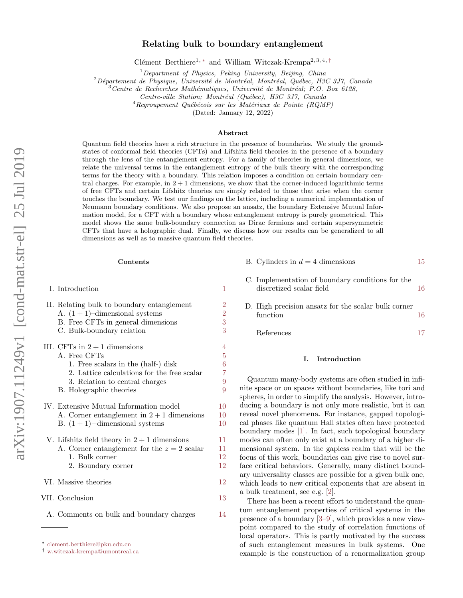# Relating bulk to boundary entanglement

Clément Berthiere<sup>1, [∗](#page-0-0)</sup> and William Witczak-Krempa<sup>2, 3, 4, [†](#page-0-1)</sup>

 $1$ Department of Physics, Peking University, Beijing, China

 $2Département de Physique, Université de Montréal, Montréal, Québec, H3C 3J7, Canada$ 

 $3$ Centre de Recherches Mathématiques, Université de Montréal; P.O. Box 6128,

Centre-ville Station; Montréal (Québec), H3C 3J7, Canada

 $4$ Regroupement Québécois sur les Matériaux de Pointe (RQMP)

(Dated: January 12, 2022)

#### Abstract

Quantum field theories have a rich structure in the presence of boundaries. We study the groundstates of conformal field theories (CFTs) and Lifshitz field theories in the presence of a boundary through the lens of the entanglement entropy. For a family of theories in general dimensions, we relate the universal terms in the entanglement entropy of the bulk theory with the corresponding terms for the theory with a boundary. This relation imposes a condition on certain boundary central charges. For example, in  $2 + 1$  dimensions, we show that the corner-induced logarithmic terms of free CFTs and certain Lifshitz theories are simply related to those that arise when the corner touches the boundary. We test our findings on the lattice, including a numerical implementation of Neumann boundary conditions. We also propose an ansatz, the boundary Extensive Mutual Information model, for a CFT with a boundary whose entanglement entropy is purely geometrical. This model shows the same bulk-boundary connection as Dirac fermions and certain supersymmetric CFTs that have a holographic dual. Finally, we discuss how our results can be generalized to all dimensions as well as to massive quantum field theories.

#### Contents

I. Introduction [1](#page-0-2)

| II. Relating bulk to boundary entanglement     | $\overline{2}$   |
|------------------------------------------------|------------------|
| A. $(1+1)$ -dimensional systems                | $\overline{2}$   |
| B. Free CFTs in general dimensions             | 3                |
| C. Bulk-boundary relation                      | 3                |
| III. CFTs in $2+1$ dimensions                  | $\overline{4}$   |
| A. Free CFTs                                   | $\overline{5}$   |
| 1. Free scalars in the (half-) disk            | $\boldsymbol{6}$ |
| 2. Lattice calculations for the free scalar    | $\overline{7}$   |
| 3. Relation to central charges                 | 9                |
| B. Holographic theories                        | 9                |
| IV. Extensive Mutual Information model         | 10               |
| A. Corner entanglement in $2 + 1$ dimensions   | $10\,$           |
| B. $(1+1)$ -dimensional systems                | 10               |
| V. Lifshitz field theory in $2 + 1$ dimensions | 11               |
| A. Corner entanglement for the $z = 2$ scalar  | 11               |
| 1. Bulk corner                                 | 12               |
| 2. Boundary corner                             | 12               |
| VI. Massive theories                           | 12               |
| VII. Conclusion                                | 13               |
|                                                |                  |

A. Comments on bulk and boundary charges [14](#page-13-0)

| C. Implementation of boundary conditions for the<br>discretized scalar field |  |
|------------------------------------------------------------------------------|--|
| D. High precision ansatz for the scalar bulk corner<br>function              |  |

<span id="page-0-2"></span>References [17](#page-16-0)

B. Cylinders in  $d = 4$  dimensions [15](#page-14-0)

## I. Introduction

Quantum many-body systems are often studied in infinite space or on spaces without boundaries, like tori and spheres, in order to simplify the analysis. However, introducing a boundary is not only more realistic, but it can reveal novel phenomena. For instance, gapped topological phases like quantum Hall states often have protected boundary modes [\[1\]](#page-16-1). In fact, such topological boundary modes can often only exist at a boundary of a higher dimensional system. In the gapless realm that will be the focus of this work, boundaries can give rise to novel surface critical behaviors. Generally, many distinct boundary universality classes are possible for a given bulk one, which leads to new critical exponents that are absent in a bulk treatment, see e.g. [\[2\]](#page-16-2).

There has been a recent effort to understand the quantum entanglement properties of critical systems in the presence of a boundary [\[3–](#page-16-3)[9\]](#page-16-4), which provides a new viewpoint compared to the study of correlation functions of local operators. This is partly motivated by the success of such entanglement measures in bulk systems. One example is the construction of a renormalization group

<span id="page-0-0"></span><sup>∗</sup> [clement.berthiere@pku.edu.cn](mailto:clement.berthiere@pku.edu.cn)

<span id="page-0-1"></span><sup>†</sup> [w.witczak-krempa@umontreal.ca](mailto:w.witczak-krempa@umontreal.ca)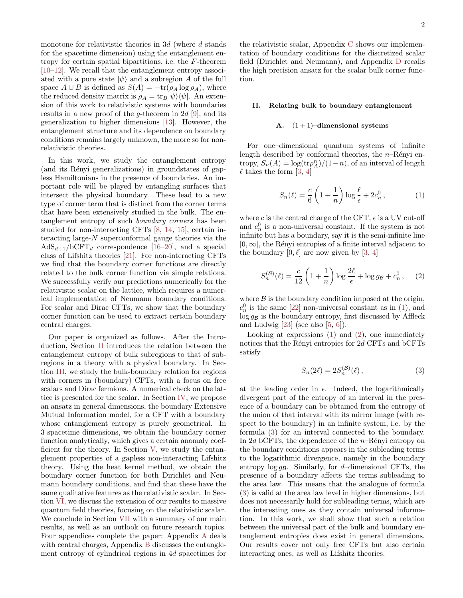monotone for relativistic theories in  $3d$  (where d stands for the spacetime dimension) using the entanglement entropy for certain spatial bipartitions, i.e. the F-theorem [\[10–](#page-16-5)[12\]](#page-16-6). We recall that the entanglement entropy associated with a pure state  $|\psi\rangle$  and a subregion A of the full space  $A \cup B$  is defined as  $S(A) = -\text{tr}(\rho_A \log \rho_A)$ , where the reduced density matrix is  $\rho_A = \text{tr}_B|\psi\rangle\langle\psi|$ . An extension of this work to relativistic systems with boundaries results in a new proof of the *a*-theorem in 2*d* [\[9\]](#page-16-4), and its generalization to higher dimensions [\[13\]](#page-16-7). However, the entanglement structure and its dependence on boundary conditions remains largely unknown, the more so for nonrelativistic theories.

In this work, we study the entanglement entropy (and its Rényi generalizations) in groundstates of gapless Hamiltonians in the presence of boundaries. An important role will be played by entangling surfaces that intersect the physical boundary. These lead to a new type of corner term that is distinct from the corner terms that have been extensively studied in the bulk. The entanglement entropy of such boundary corners has been studied for non-interacting CFTs [\[8,](#page-16-8) [14,](#page-16-9) [15\]](#page-16-10), certain interacting large- $N$  superconformal gauge theories via the  $AdS_{d+1}/bCFT_d$  correspondence [\[16–](#page-16-11)[20\]](#page-16-12), and a special class of Lifshitz theories [\[21\]](#page-16-13). For non-interacting CFTs we find that the boundary corner functions are directly related to the bulk corner function via simple relations. We successfully verify our predictions numerically for the relativistic scalar on the lattice, which requires a numerical implementation of Neumann boundary conditions. For scalar and Dirac CFTs, we show that the boundary corner function can be used to extract certain boundary central charges.

Our paper is organized as follows. After the Introduction, Section [II](#page-1-0) introduces the relation between the entanglement entropy of bulk subregions to that of subregions in a theory with a physical boundary. In Section [III,](#page-3-0) we study the bulk-boundary relation for regions with corners in (boundary) CFTs, with a focus on free scalars and Dirac fermions. A numerical check on the lattice is presented for the scalar. In Section [IV,](#page-9-0) we propose an ansatz in general dimensions, the boundary Extensive Mutual Information model, for a CFT with a boundary whose entanglement entropy is purely geometrical. In 3 spacetime dimensions, we obtain the boundary corner function analytically, which gives a certain anomaly coefficient for the theory. In Section [V,](#page-10-0) we study the entanglement properties of a gapless non-interacting Lifshitz theory. Using the heat kernel method, we obtain the boundary corner function for both Dirichlet and Neumann boundary conditions, and find that these have the same qualitative features as the relativistic scalar. In Section [VI,](#page-11-2) we discuss the extension of our results to massive quantum field theories, focusing on the relativistic scalar. We conclude in Section [VII](#page-12-0) with a summary of our main results, as well as an outlook on future research topics. Four appendices complete the paper: Appendix [A](#page-13-0) deals with central charges, Appendix [B](#page-14-0) discusses the entanglement entropy of cylindrical regions in 4d spacetimes for

the relativistic scalar, Appendix [C](#page-15-0) shows our implementation of boundary conditions for the discretized scalar field (Dirichlet and Neumann), and Appendix [D](#page-15-1) recalls the high precision ansatz for the scalar bulk corner function.

#### <span id="page-1-1"></span><span id="page-1-0"></span>II. Relating bulk to boundary entanglement

#### A.  $(1 + 1)$ -dimensional systems

For one–dimensional quantum systems of infinite length described by conformal theories, the  $n-$ Rényi entropy,  $S_n(A) = \log(\text{tr} \rho_A^n)/(1-n)$ , of an interval of length  $\ell$  takes the form [\[3,](#page-16-3) [4\]](#page-16-14)

<span id="page-1-3"></span>
$$
S_n(\ell) = \frac{c}{6} \left( 1 + \frac{1}{n} \right) \log \frac{\ell}{\epsilon} + 2c_n^0, \qquad (1)
$$

where c is the central charge of the CFT,  $\epsilon$  is a UV cut-off and  $c_n^0$  is a non-universal constant. If the system is not infinite but has a boundary, say it is the semi-infinite line  $[0, \infty)$ , the Rényi entropies of a finite interval adjacent to the boundary  $[0, \ell]$  are now given by [\[3,](#page-16-3) [4\]](#page-16-14)

<span id="page-1-4"></span>
$$
S_n^{(\mathcal{B})}(\ell) = \frac{c}{12} \left( 1 + \frac{1}{n} \right) \log \frac{2\ell}{\epsilon} + \log g_{\mathcal{B}} + c_n^0, \quad (2)
$$

where  $\beta$  is the boundary condition imposed at the origin,  $c_n^0$  is the same [\[22\]](#page-16-15) non-universal constant as in [\(1\)](#page-1-3), and  $\log g_B$  is the boundary entropy, first discussed by Affleck and Ludwig  $[23]$  (see also  $[5, 6]$  $[5, 6]$ ).

Looking at expressions [\(1\)](#page-1-3) and [\(2\)](#page-1-4), one immediately notices that the Rényi entropies for  $2d$  CFTs and bCFTs satisfy

<span id="page-1-5"></span>
$$
S_n(2\ell) = 2S_n^{(\mathcal{B})}(\ell) \,, \tag{3}
$$

<span id="page-1-2"></span>at the leading order in  $\epsilon$ . Indeed, the logarithmically divergent part of the entropy of an interval in the presence of a boundary can be obtained from the entropy of the union of that interval with its mirror image (with respect to the boundary) in an infinite system, i.e. by the formula [\(3\)](#page-1-5) for an interval connected to the boundary. In 2d bCFTs, the dependence of the  $n-$ Rényi entropy on the boundary conditions appears in the subleading terms to the logarithmic divergence, namely in the boundary entropy  $\log g_B$ . Similarly, for d–dimensional CFTs, the presence of a boundary affects the terms subleading to the area law. This means that the analogue of formula [\(3\)](#page-1-5) is valid at the area law level in higher dimensions, but does not necessarily hold for subleading terms, which are the interesting ones as they contain universal information. In this work, we shall show that such a relation between the universal part of the bulk and boundary entanglement entropies does exist in general dimensions. Our results cover not only free CFTs but also certain interacting ones, as well as Lifshitz theories.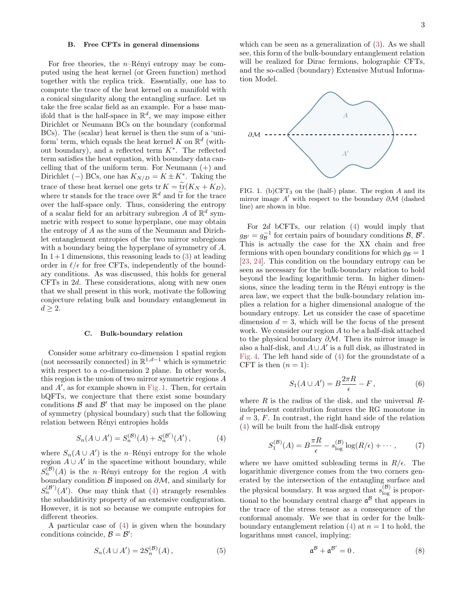## B. Free CFTs in general dimensions

For free theories, the  $n-$ -Rényi entropy may be computed using the heat kernel (or Green function) method together with the replica trick. Essentially, one has to compute the trace of the heat kernel on a manifold with a conical singularity along the entangling surface. Let us take the free scalar field as an example. For a base manifold that is the half-space in  $\mathbb{R}^d$ , we may impose either Dirichlet or Neumann BCs on the boundary (conformal BCs). The (scalar) heat kernel is then the sum of a 'uniform' term, which equals the heat kernel K on  $\mathbb{R}^d$  (without boundary), and a reflected term  $K^*$ . The reflected term satisfies the heat equation, with boundary data cancelling that of the uniform term. For Neumann  $(+)$  and Dirichlet (-) BCs, one has  $K_{N/D} = K \pm K^*$ . Taking the trace of these heat kernel one gets tr  $K = \tilde{tr}(K_N + K_D)$ , where tr stands for the trace over  $\mathbb{R}^d$  and  $\tilde{t}$  for the trace over the half-space only. Thus, considering the entropy of a scalar field for an arbitrary subregion  $\tilde{A}$  of  $\mathbb{R}^d$  symmetric with respect to some hyperplane, one may obtain the entropy of A as the sum of the Neumann and Dirichlet entanglement entropies of the two mirror subregions with a boundary being the hyperplane of symmetry of A. In  $1+1$  dimensions, this reasoning leads to  $(3)$  at leading order in  $\ell/\epsilon$  for free CFTs, independently of the boundary conditions. As was discussed, this holds for general CFTs in 2d. These considerations, along with new ones that we shall present in this work, motivate the following conjecture relating bulk and boundary entanglement in  $d \geq 2$ .

#### C. Bulk-boundary relation

<span id="page-2-0"></span>Consider some arbitrary co-dimension 1 spatial region (not necessarily connected) in  $\mathbb{R}^{1,d-1}$  which is symmetric with respect to a co-dimension 2 plane. In other words, this region is the union of two mirror symmetric regions A and  $A'$ , as for example shown in [Fig.](#page-2-1) [1.](#page-2-1) Then, for certain bQFTs, we conjecture that there exist some boundary conditions  $\beta$  and  $\beta'$  that may be imposed on the plane of symmetry (physical boundary) such that the following relation between Rényi entropies holds

<span id="page-2-2"></span>
$$
S_n(A \cup A') = S_n^{(\mathcal{B})}(A) + S_n^{(\mathcal{B}')}(A'),\tag{4}
$$

where  $S_n(A \cup A')$  is the n–Rényi entropy for the whole region  $A \cup A'$  in the spacetime without boundary, while  $S_n^{(\mathcal{B})}(A)$  is the n-Rényi entropy for the region A with boundary condition  $\beta$  imposed on  $\partial \mathcal{M}$ , and similarly for  $S_n^{(\mathcal{B}')}(A')$ . One may think that [\(4\)](#page-2-2) strangely resembles the subadditivity property of an extensive configuration. However, it is not so because we compute entropies for different theories.

A particular case of [\(4\)](#page-2-2) is given when the boundary conditions coincide,  $\mathcal{B} = \mathcal{B}'$ :

$$
S_n(A \cup A') = 2S_n^{(\mathcal{B})}(A), \tag{5}
$$

which can be seen as a generalization of [\(3\)](#page-1-5). As we shall see, this form of the bulk-boundary entanglement relation will be realized for Dirac fermions, holographic CFTs, and the so-called (boundary) Extensive Mutual Information Model.



<span id="page-2-1"></span>FIG. 1. (b)CFT<sub>3</sub> on the (half-) plane. The region  $A$  and its mirror image  $A'$  with respect to the boundary  $\partial M$  (dashed line) are shown in blue.

For 2d bCFTs, our relation [\(4\)](#page-2-2) would imply that  $g_{\mathcal{B}'} = g_{\mathcal{B}}^{-1}$  for certain pairs of boundary conditions  $\mathcal{B}, \mathcal{B}'$ . This is actually the case for the XX chain and free fermions with open boundary conditions for which  $g_B = 1$ [\[23,](#page-16-16) [24\]](#page-16-19). This condition on the boundary entropy can be seen as necessary for the bulk-boundary relation to hold beyond the leading logarithmic term. In higher dimensions, since the leading term in the Rényi entropy is the area law, we expect that the bulk-boundary relation implies a relation for a higher dimensional analogue of the boundary entropy. Let us consider the case of spacetime dimension  $d = 3$ , which will be the focus of the present work. We consider our region A to be a half-disk attached to the physical boundary  $\partial M$ . Then its mirror image is also a half-disk, and  $A \cup A'$  is a full disk, as illustrated in [Fig.](#page-5-1) [4.](#page-5-1) The left hand side of [\(4\)](#page-2-2) for the groundstate of a CFT is then  $(n = 1)$ :

<span id="page-2-4"></span>
$$
S_1(A \cup A') = B \frac{2\pi R}{\epsilon} - F, \qquad (6)
$$

where  $R$  is the radius of the disk, and the universal  $R$ independent contribution features the RG monotone in  $d = 3$ , F. In contrast, the right hand side of the relation [\(4\)](#page-2-2) will be built from the half-disk entropy

$$
S_1^{(\mathcal{B})}(A) = B \frac{\pi R}{\epsilon} - s_{\text{log}}^{(\mathcal{B})} \log(R/\epsilon) + \cdots, \tag{7}
$$

<span id="page-2-3"></span>where we have omitted subleading terms in  $R/\epsilon$ . The logarithmic divergence comes from the two corners generated by the intersection of the entangling surface and the physical boundary. It was argued that  $s_{\text{log}}^{(\mathcal{B})}$  is proportional to the boundary central charge  $\mathfrak{a}^{\mathcal{B}}$  that appears in the trace of the stress tensor as a consequence of the conformal anomaly. We see that in order for the bulk-boundary entanglement relation [\(4\)](#page-2-2) at  $n = 1$  to hold, the logarithms must cancel, implying:

<span id="page-2-5"></span>
$$
\mathfrak{a}^{\mathcal{B}} + \mathfrak{a}^{\mathcal{B}'} = 0.
$$
 (8)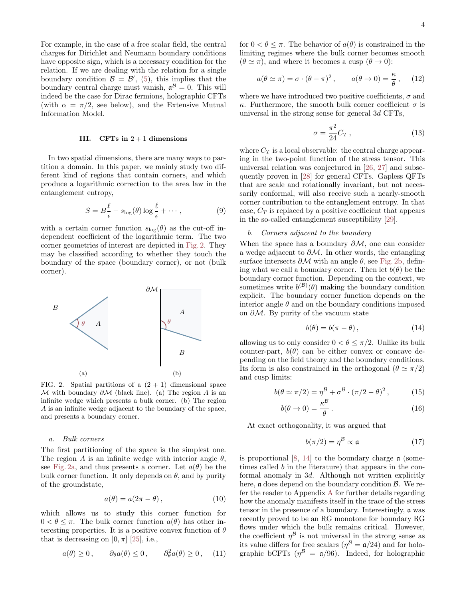For example, in the case of a free scalar field, the central charges for Dirichlet and Neumann boundary conditions have opposite sign, which is a necessary condition for the relation. If we are dealing with the relation for a single boundary condition  $\mathcal{B} = \mathcal{B}'$ , [\(5\)](#page-2-3), this implies that the boundary central charge must vanish,  $\mathfrak{a}^{\mathcal{B}} = 0$ . This will indeed be the case for Dirac fermions, holographic CFTs (with  $\alpha = \pi/2$ , see below), and the Extensive Mutual Information Model.

#### III. CFTs in  $2+1$  dimensions

<span id="page-3-0"></span>In two spatial dimensions, there are many ways to partition a domain. In this paper, we mainly study two different kind of regions that contain corners, and which produce a logarithmic correction to the area law in the entanglement entropy,

$$
S = B \frac{\ell}{\epsilon} - s_{\log}(\theta) \log \frac{\ell}{\epsilon} + \cdots, \qquad (9)
$$

with a certain corner function  $s_{\text{log}}(\theta)$  as the cut-off independent coefficient of the logarithmic term. The two corner geometries of interest are depicted in [Fig.](#page-3-1) [2.](#page-3-1) They may be classified according to whether they touch the boundary of the space (boundary corner), or not (bulk corner).



<span id="page-3-1"></span>FIG. 2. Spatial partitions of a  $(2 + 1)$ –dimensional space M with boundary  $\partial M$  (black line). (a) The region A is an infinite wedge which presents a bulk corner. (b) The region A is an infinite wedge adjacent to the boundary of the space, and presents a boundary corner.

#### a. Bulk corners

The first partitioning of the space is the simplest one. The region A is an infinite wedge with interior angle  $\theta$ , see [Fig.](#page-3-1) [2a](#page-3-1), and thus presents a corner. Let  $a(\theta)$  be the bulk corner function. It only depends on  $\theta$ , and by purity of the groundstate,

$$
a(\theta) = a(2\pi - \theta), \qquad (10)
$$

which allows us to study this corner function for  $0 < \theta \leq \pi$ . The bulk corner function  $a(\theta)$  has other interesting properties. It is a positive convex function of  $\theta$ that is decreasing on  $[0, \pi]$  [\[25\]](#page-17-0), i.e.,

$$
a(\theta) \ge 0
$$
,  $\partial_{\theta}a(\theta) \le 0$ ,  $\partial_{\theta}^{2}a(\theta) \ge 0$ , (11)

for  $0 < \theta \leq \pi$ . The behavior of  $a(\theta)$  is constrained in the limiting regimes where the bulk corner becomes smooth  $(\theta \simeq \pi)$ , and where it becomes a cusp  $(\theta \to 0)$ :

<span id="page-3-2"></span>
$$
a(\theta \simeq \pi) = \sigma \cdot (\theta - \pi)^2
$$
,  $a(\theta \to 0) = \frac{\kappa}{\theta}$ , (12)

where we have introduced two positive coefficients,  $\sigma$  and κ. Furthermore, the smooth bulk corner coefficient σ is universal in the strong sense for general 3d CFTs,

<span id="page-3-4"></span>
$$
\sigma = \frac{\pi^2}{24} C_T \,,\tag{13}
$$

where  $C_T$  is a local observable: the central charge appearing in the two-point function of the stress tensor. This universal relation was conjectured in [\[26,](#page-17-1) [27\]](#page-17-2) and subsequently proven in [\[28\]](#page-17-3) for general CFTs. Gapless QFTs that are scale and rotationally invariant, but not necessarily conformal, will also receive such a nearly-smooth corner contribution to the entanglement entropy. In that case,  $C_T$  is replaced by a positive coefficient that appears in the so-called entanglement susceptibility [\[29\]](#page-17-4).

# b. Corners adjacent to the boundary

When the space has a boundary  $\partial \mathcal{M}$ , one can consider a wedge adjacent to  $\partial M$ . In other words, the entangling surface intersects  $\partial M$  with an angle  $\theta$ , see [Fig.](#page-3-1) [2b](#page-3-1), defining what we call a boundary corner. Then let  $b(\theta)$  be the boundary corner function. Depending on the context, we sometimes write  $b^{(\mathcal{B})}(\theta)$  making the boundary condition explicit. The boundary corner function depends on the interior angle  $\theta$  and on the boundary conditions imposed on  $\partial M$ . By purity of the vacuum state

$$
b(\theta) = b(\pi - \theta), \qquad (14)
$$

allowing us to only consider  $0 < \theta < \pi/2$ . Unlike its bulk counter-part,  $b(\theta)$  can be either convex or concave depending on the field theory and the boundary conditions. Its form is also constrained in the orthogonal ( $\theta \simeq \pi/2$ ) and cusp limits:

<span id="page-3-3"></span>
$$
b(\theta \simeq \pi/2) = \eta^{\mathcal{B}} + \sigma^{\mathcal{B}} \cdot (\pi/2 - \theta)^2, \qquad (15)
$$

$$
b(\theta \to 0) = \frac{\kappa^{\mathcal{B}}}{\theta}.
$$
 (16)

At exact orthogonality, it was argued that

$$
b(\pi/2) = \eta^{\mathcal{B}} \propto \mathfrak{a} \tag{17}
$$

is proportional [\[8,](#page-16-8) [14\]](#page-16-9) to the boundary charge  $\alpha$  (sometimes called b in the literature) that appears in the conformal anomaly in 3d. Although not written explicitly here,  $\boldsymbol{\mathfrak{a}}$  does depend on the boundary condition  $\boldsymbol{\mathcal{B}}$ . We refer the reader to Appendix [A](#page-13-0) for further details regarding how the anomaly manifests itself in the trace of the stress tensor in the presence of a boundary. Interestingly, a was recently proved to be an RG monotone for boundary RG flows under which the bulk remains critical. However, the coefficient  $\eta^{\mathcal{B}}$  is not universal in the strong sense as its value differs for free scalars  $(\eta^{\mathcal{B}} = \mathfrak{a}/24)$  and for holographic bCFTs  $(\eta^{\mathcal{B}} = \mathfrak{a}/96)$ . Indeed, for holographic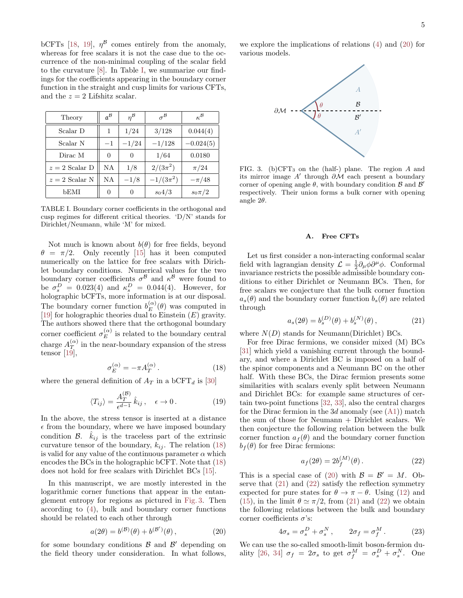bCFTs [\[18,](#page-16-20) [19\]](#page-16-21),  $\eta^{\mathcal{B}}$  comes entirely from the anomaly, whereas for free scalars it is not the case due to the occurrence of the non-minimal coupling of the scalar field to the curvature [\[8\]](#page-16-8). In Table [I,](#page-4-1) we summarize our findings for the coefficients appearing in the boundary corner function in the straight and cusp limits for various CFTs, and the  $z = 2$  Lifshitz scalar.

| Theory           | $\mathfrak{a}^{\mathcal{B}}$ | $n^{\mathcal{B}}$ | $\sigma^{\mathcal{B}}$ | $\kappa^{\mathcal{B}}$ |
|------------------|------------------------------|-------------------|------------------------|------------------------|
| Scalar D         | 1                            | 1/24              | 3/128                  | 0.044(4)               |
| Scalar N         | $-1$                         | $-1/24$           | $-1/128$               | $-0.024(5)$            |
| Dirac M          | $\theta$                     | $\theta$          | 1/64                   | 0.0180                 |
| $z = 2$ Scalar D | NA.                          | 1/8               | $2/(3\pi^2)$           | $\pi/24$               |
| $z = 2$ Scalar N | NA                           | $-1/8$            | $-1/(3\pi^2)$          | $-\pi/48$              |
| bEMI             | 0                            |                   | $s_04/3$               | $s_0\pi/2$             |

<span id="page-4-1"></span>TABLE I. Boundary corner coefficients in the orthogonal and cusp regimes for different critical theories.  $D/N$  stands for Dirichlet/Neumann, while 'M' for mixed.

Not much is known about  $b(\theta)$  for free fields, beyond  $\theta = \pi/2$ . Only recently [\[15\]](#page-16-10) has it been computed numerically on the lattice for free scalars with Dirichlet boundary conditions. Numerical values for the two boundary corner coefficients  $\sigma^{\mathcal{B}}$  and  $\kappa^{\mathcal{B}}$  were found to be  $\sigma_s^D = 0.023(4)$  and  $\kappa_s^D = 0.044(4)$ . However, for holographic bCFTs, more information is at our disposal. The boundary corner function  $b_E^{(\alpha)}$  $E^{(\alpha)}(\theta)$  was computed in [\[19\]](#page-16-21) for holographic theories dual to Einstein  $(E)$  gravity. The authors showed there that the orthogonal boundary corner coefficient  $\sigma_E^{(\alpha)}$  $\binom{\alpha}{E}$  is related to the boundary central charge  $A_T^{(\alpha)}$  $\chi^{(\alpha)}$  in the near-boundary expansion of the stress tensor  $[19]$ ,

<span id="page-4-2"></span>
$$
\sigma_E^{(\alpha)} = -\pi A_T^{(\alpha)}.
$$
\n(18)

where the general definition of  $A_T$  in a bCFT<sub>d</sub> is [\[30\]](#page-17-5)

$$
\langle T_{ij} \rangle = \frac{A_T^{(\mathcal{B})}}{\epsilon^{d-1}} \hat{k}_{ij} , \quad \epsilon \to 0.
$$
 (19)

In the above, the stress tensor is inserted at a distance  $\epsilon$  from the boundary, where we have imposed boundary condition  $\mathcal{B}$ .  $\hat{k}_{ij}$  is the traceless part of the extrinsic curvature tensor of the boundary,  $k_{ij}$ . The relation [\(18\)](#page-4-2) is valid for any value of the continuous parameter  $\alpha$  which encodes the BCs in the holographic bCFT. Note that [\(18\)](#page-4-2) does not hold for free scalars with Dirichlet BCs [\[15\]](#page-16-10).

In this manuscript, we are mostly interested in the logarithmic corner functions that appear in the entanglement entropy for regions as pictured in [Fig.](#page-4-3) [3.](#page-4-3) Then according to [\(4\)](#page-2-2), bulk and boundary corner functions should be related to each other through

<span id="page-4-4"></span>
$$
a(2\theta) = b^{(\mathcal{B})}(\theta) + b^{(\mathcal{B}')}(\theta),
$$
\n(20)

for some boundary conditions  $\mathcal{B}$  and  $\mathcal{B}'$  depending on the field theory under consideration. In what follows, we explore the implications of relations [\(4\)](#page-2-2) and [\(20\)](#page-4-4) for various models.



<span id="page-4-3"></span>FIG. 3. (b) CFT<sub>3</sub> on the (half-) plane. The region  $A$  and its mirror image  $A'$  through ∂M each present a boundary corner of opening angle  $\theta$ , with boundary condition  $\beta$  and  $\beta'$ respectively. Their union forms a bulk corner with opening angle  $2\theta$ .

## Free CFTs

<span id="page-4-0"></span>Let us first consider a non-interacting conformal scalar field with lagrangian density  $\mathcal{L} = \frac{1}{2} \partial_{\mu} \phi \partial^{\mu} \phi$ . Conformal invariance restricts the possible admissible boundary conditions to either Dirichlet or Neumann BCs. Then, for free scalars we conjecture that the bulk corner function  $a_s(\theta)$  and the boundary corner function  $b_s(\theta)$  are related through

<span id="page-4-5"></span>
$$
a_s(2\theta) = b_s^{(D)}(\theta) + b_s^{(N)}(\theta) ,
$$
 (21)

where  $N(D)$  stands for Neumann(Dirichlet) BCs.

For free Dirac fermions, we consider mixed (M) BCs [\[31\]](#page-17-6) which yield a vanishing current through the boundary, and where a Dirichlet BC is imposed on a half of the spinor components and a Neumann BC on the other half. With these BCs, the Dirac fermion presents some similarities with scalars evenly split between Neumann and Dirichlet BCs: for example same structures of certain two-point functions [\[32,](#page-17-7) [33\]](#page-17-8), also the central charges for the Dirac fermion in the  $3d$  anomaly (see  $(A1)$ ) match the sum of those for Neumann + Dirichlet scalars. We then conjecture the following relation between the bulk corner function  $a_f(\theta)$  and the boundary corner function  $b_f(\theta)$  for free Dirac fermions:

<span id="page-4-6"></span>
$$
a_f(2\theta) = 2b_f^{(M)}(\theta). \tag{22}
$$

This is a special case of [\(20\)](#page-4-4) with  $\mathcal{B} = \mathcal{B}' = M$ . Observe that  $(21)$  and  $(22)$  satisfy the reflection symmetry expected for pure states for  $\theta \to \pi - \theta$ . Using [\(12\)](#page-3-2) and [\(15\)](#page-3-3), in the limit  $\theta \simeq \pi/2$ , from [\(21\)](#page-4-5) and [\(22\)](#page-4-6) we obtain the following relations between the bulk and boundary corner coefficients  $\sigma$ 's:

<span id="page-4-7"></span>
$$
4\sigma_s = \sigma_s^D + \sigma_s^N, \qquad 2\sigma_f = \sigma_f^M. \tag{23}
$$

We can use the so-called smooth-limit boson-fermion du-ality [\[26,](#page-17-1) [34\]](#page-17-9)  $\sigma_f = 2\sigma_s$  to get  $\sigma_f^M = \sigma_s^D + \sigma_s^N$ . One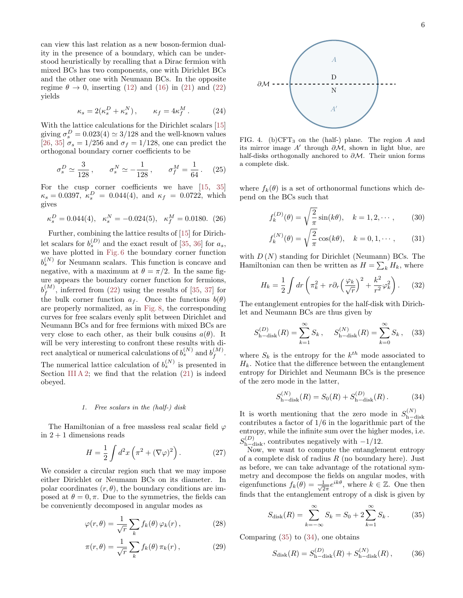can view this last relation as a new boson-fermion duality in the presence of a boundary, which can be understood heuristically by recalling that a Dirac fermion with mixed BCs has two components, one with Dirichlet BCs and the other one with Neumann BCs. In the opposite regime  $\theta \to 0$ , inserting [\(12\)](#page-3-2) and [\(16\)](#page-3-3) in [\(21\)](#page-4-5) and [\(22\)](#page-4-6) yields

$$
\kappa_s = 2(\kappa_s^D + \kappa_s^N), \qquad \kappa_f = 4\kappa_f^M. \tag{24}
$$

With the lattice calculations for the Dirichlet scalars [\[15\]](#page-16-10) giving  $\sigma_s^D = 0.023(4) \simeq 3/128$  and the well-known values [\[26,](#page-17-1) [35\]](#page-17-10)  $\sigma_s = 1/256$  and  $\sigma_f = 1/128$ , one can predict the orthogonal boundary corner coefficients to be

<span id="page-5-5"></span>
$$
\sigma_s^D \simeq \frac{3}{128}
$$
,  $\sigma_s^N \simeq -\frac{1}{128}$ ,  $\sigma_f^M = \frac{1}{64}$ . (25)

For the cusp corner coefficients we have [\[15,](#page-16-10) [35\]](#page-17-10)  $\kappa_s = 0.0397, \ \kappa_s^D = 0.044(4), \text{ and } \kappa_f = 0.0722, \text{ which}$ gives

$$
\kappa_s^D = 0.044(4), \quad \kappa_s^N = -0.024(5), \quad \kappa_f^M = 0.0180.
$$
 (26)

Further, combining the lattice results of [\[15\]](#page-16-10) for Dirichlet scalars for  $b_s^{(D)}$  and the exact result of [\[35,](#page-17-10) [36\]](#page-17-11) for  $a_s$ , we have plotted in [Fig.](#page-7-0) [6](#page-7-0) the boundary corner function  $b_s^{(N)}$  for Neumann scalars. This function is concave and negative, with a maximum at  $\theta = \pi/2$ . In the same figure appears the boundary corner function for fermions,  $b^{(M)}_{\scriptscriptstyle f}$  $f_f^{(M)}$ , inferred from [\(22\)](#page-4-6) using the results of [\[35,](#page-17-10) [37\]](#page-17-12) for the bulk corner function  $a_f$ . Once the functions  $b(\theta)$ are properly normalized, as in [Fig.](#page-12-1) [8,](#page-12-1) the corresponding curves for free scalars evenly split between Dirichlet and Neumann BCs and for free fermions with mixed BCs are very close to each other, as their bulk cousins  $a(\theta)$ . It will be very interesting to confront these results with direct analytical or numerical calculations of  $b_s^{(N)}$  and  $b_f^{(M)}$  $\stackrel{(M)}{f}$ . The numerical lattice calculation of  $b_s^{(N)}$  is presented in Section [III A 2;](#page-6-0) we find that the relation  $(21)$  is indeed obeyed.

## 1. Free scalars in the (half-) disk

<span id="page-5-0"></span>The Hamiltonian of a free massless real scalar field  $\varphi$ in  $2 + 1$  dimensions reads

$$
H = \frac{1}{2} \int d^2x \left( \pi^2 + (\nabla \varphi)^2 \right). \tag{27}
$$

We consider a circular region such that we may impose either Dirichlet or Neumann BCs on its diameter. In polar coordinates  $(r, \theta)$ , the boundary conditions are imposed at  $\theta = 0, \pi$ . Due to the symmetries, the fields can be conveniently decomposed in angular modes as

$$
\varphi(r,\theta) = \frac{1}{\sqrt{r}} \sum_{k} f_k(\theta) \varphi_k(r) , \qquad (28)
$$

$$
\pi(r,\theta) = \frac{1}{\sqrt{r}} \sum_{k} f_k(\theta) \pi_k(r) , \qquad (29)
$$



<span id="page-5-1"></span>FIG. 4. (b)  $CFT_3$  on the (half-) plane. The region A and its mirror image  $A'$  through  $\partial M$ , shown in light blue, are half-disks orthogonally anchored to  $\partial M$ . Their union forms a complete disk.

where  $f_k(\theta)$  is a set of orthonormal functions which depend on the BCs such that

$$
f_k^{(D)}(\theta) = \sqrt{\frac{2}{\pi}} \sin(k\theta), \quad k = 1, 2, \cdots,
$$
 (30)

$$
f_k^{(N)}(\theta) = \sqrt{\frac{2}{\pi}} \cos(k\theta), \quad k = 0, 1, \cdots,
$$
 (31)

with  $D(N)$  standing for Dirichlet (Neumann) BCs. The Hamiltonian can then be written as  $H = \sum_k H_k$ , where

<span id="page-5-6"></span>
$$
H_k = \frac{1}{2} \int dr \left( \pi_k^2 + r \partial_r \left( \frac{\varphi_k}{\sqrt{r}} \right)^2 + \frac{k^2}{r^2} \varphi_k^2 \right). \tag{32}
$$

The entanglement entropies for the half-disk with Dirichlet and Neumann BCs are thus given by

$$
S_{\text{h-disk}}^{(D)}(R) = \sum_{k=1}^{\infty} S_k, \quad S_{\text{h-disk}}^{(N)}(R) = \sum_{k=0}^{\infty} S_k, \quad (33)
$$

where  $S_k$  is the entropy for the  $k^{th}$  mode associated to  $H_k$ . Notice that the difference between the entanglement entropy for Dirichlet and Neumann BCs is the presence of the zero mode in the latter,

<span id="page-5-3"></span>
$$
S_{\rm h-disk}^{(N)}(R) = S_0(R) + S_{\rm h-disk}^{(D)}(R). \tag{34}
$$

It is worth mentioning that the zero mode in  $S_{h-d}^{(N)}$ to is worth mentioning that the zero mode in  $D_{h-disk}$ <br>contributes a factor of 1/6 in the logarithmic part of the entropy, while the infinite sum over the higher modes, i.e.  $S_{\rm h-disk}^{(D)}$ , contributes negatively with  $-1/12$ .

Now, we want to compute the entanglement entropy of a complete disk of radius  $R$  (no boundary here). Just as before, we can take advantage of the rotational symmetry and decompose the fields on angular modes, with eigenfunctions  $f_k(\theta) = \frac{1}{\sqrt{2}}$  $\frac{1}{2\pi}e^{ik\theta}$ , where  $k \in \mathbb{Z}$ . One then finds that the entanglement entropy of a disk is given by

<span id="page-5-2"></span>
$$
S_{\text{disk}}(R) = \sum_{k=-\infty}^{\infty} S_k = S_0 + 2 \sum_{k=1}^{\infty} S_k.
$$
 (35)

Comparing  $(35)$  to  $(34)$ , one obtains

<span id="page-5-4"></span>
$$
S_{\rm disk}(R) = S_{\rm h-disk}^{(D)}(R) + S_{\rm h-disk}^{(N)}(R) ,\qquad (36)
$$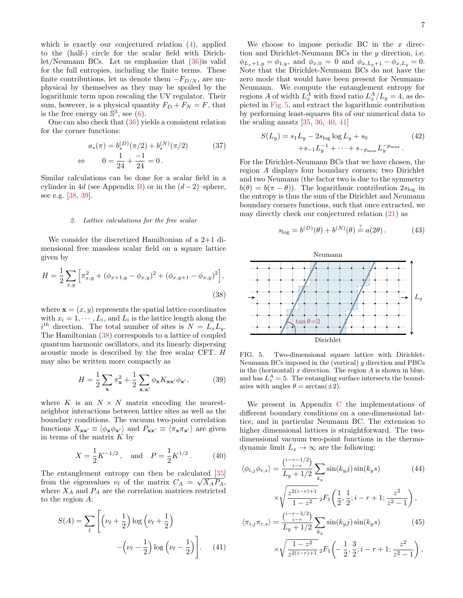which is exactly our conjectured relation [\(4\)](#page-2-2), applied to the (half-) circle for the scalar field with Dirichlet/Neumann BCs. Let us emphasize that [\(36\)](#page-5-4)is valid for the full entropies, including the finite terms. These finite contributions, let us denote them  $-F_{D/N}$ , are unphysical by themselves as they may be spoiled by the logarithmic term upon rescaling the UV regulator. Their sum, however, is a physical quantity  $F_D + F_N = F$ , that is the free energy on  $\mathbb{S}^3$ , see [\(6\)](#page-2-4).

One can also check that [\(36\)](#page-5-4) yields a consistent relation for the corner functions:

$$
a_s(\pi) = b_s^{(D)}(\pi/2) + b_s^{(N)}(\pi/2)
$$
 (37)  
\n
$$
\Leftrightarrow \qquad 0 = \frac{1}{24} + \frac{-1}{24} = 0.
$$

<span id="page-6-0"></span>Similar calculations can be done for a scalar field in a cylinder in 4d (see Appendix [B\)](#page-14-0) or in the  $(d-2)$ –sphere, see e.g. [\[38,](#page-17-13) [39\]](#page-17-14).

#### 2. Lattice calculations for the free scalar

We consider the discretized Hamiltonian of a 2+1 dimensional free massless scalar field on a square lattice given by

<span id="page-6-1"></span>
$$
H = \frac{1}{2} \sum_{x,y} \left[ \pi_{x,y}^2 + (\phi_{x+1,y} - \phi_{x,y})^2 + (\phi_{x,y+1} - \phi_{x,y})^2 \right],
$$
\n(38)

where  $\mathbf{x} = (x, y)$  represents the spatial lattice coordinates with  $x_i = 1, \dots, L_i$ , and  $L_i$  is the lattice length along the  $i^{th}$  direction. The total number of sites is  $N = L_x L_y$ . The Hamiltonian [\(38\)](#page-6-1) corresponds to a lattice of coupled quantum harmonic oscillators, and its linearly dispersing acoustic mode is described by the free scalar CFT. H may also be written more compactly as

$$
H = \frac{1}{2} \sum_{\mathbf{x}} \pi_{\mathbf{x}}^2 + \frac{1}{2} \sum_{\mathbf{x}, \mathbf{x}'} \phi_{\mathbf{x}} K_{\mathbf{x} \mathbf{x}'} \phi_{\mathbf{x}'},
$$
 (39)

where K is an  $N \times N$  matrix encoding the nearestneighbor interactions between lattice sites as well as the boundary conditions. The vacuum two-point correlation functions  $X_{\mathbf{xx'}} \equiv \langle \phi_{\mathbf{x}} \phi_{\mathbf{x'}} \rangle$  and  $P_{\mathbf{xx'}} \equiv \langle \pi_{\mathbf{x}} \pi_{\mathbf{x'}} \rangle$  are given in terms of the matrix  $K$  by

$$
X = \frac{1}{2}K^{-1/2}
$$
, and  $P = \frac{1}{2}K^{1/2}$ . (40)

The entanglement entropy can then be calculated  $[35]$ from the eigenvalues  $\nu_{\ell}$  of the matrix  $C_A = \sqrt{X_A P_A}$ , where  $X_A$  and  $P_A$  are the correlation matrices restricted to the region A:

$$
S(A) = \sum_{\ell} \left[ \left( \nu_{\ell} + \frac{1}{2} \right) \log \left( \nu_{\ell} + \frac{1}{2} \right) - \left( \nu_{\ell} - \frac{1}{2} \right) \log \left( \nu_{\ell} - \frac{1}{2} \right) \right].
$$
 (41)

We choose to impose periodic BC in the  $x$  direction and Dirichlet-Neumann BCs in the y direction, i.e.  $\phi_{L_x+1,y} = \phi_{1,y}$ , and  $\phi_{x,0} = 0$  and  $\phi_{x,L_y+1} - \phi_{x,L_y} = 0$ . Note that the Dirichlet-Neumann BCs do not have the zero mode that would have been present for Neumann-Neumann. We compute the entanglement entropy for regions A of width  $L_x^A$  with fixed ratio  $L_x^A/L_y = 4$ , as depicted in [Fig.](#page-6-2) [5,](#page-6-2) and extract the logarithmic contribution by performing least-squares fits of our numerical data to the scaling ansatz [\[35,](#page-17-10) [36,](#page-17-11) [40,](#page-17-15) [41\]](#page-17-16)

$$
S(L_y) = s_1 L_y - 2s_{\log} \log L_y + s_0
$$
\n
$$
+ s_{-1} L_y^{-1} + \dots + s_{-p_{\max}} L_y^{-p_{\max}}.
$$
\n(42)

For the Dirichlet-Neumann BCs that we have chosen, the region A displays four boundary corners; two Dirichlet and two Neumann (the factor two is due to the symmetry  $b(\theta) = b(\pi - \theta)$ . The logarithmic contribution  $2s_{\text{log}}$  in the entropy is thus the sum of the Dirichlet and Neumann boundary corners functions, such that once extracted, we may directly check our conjectured relation [\(21\)](#page-4-5) as

$$
s_{\log} = b^{(D)}(\theta) + b^{(N)}(\theta) \stackrel{?}{=} a(2\theta). \tag{43}
$$



<span id="page-6-2"></span>FIG. 5. Two-dimensional square lattice with Dirichlet-Neumann BCs imposed in the (vertical)  $y$  direction and PBCs in the (horizontal)  $x$  direction. The region  $A$  is shown in blue, and has  $L_x^A = 5$ . The entangling surface intersects the boundaries with angles  $\theta = \arctan(\pm 2)$ .

We present in Appendix [C](#page-15-0) the implementations of different boundary conditions on a one-dimensional lattice, and in particular Neumann BC. The extension to higher dimensional lattices is straightforward. The twodimensional vacuum two-point functions in the thermodynamic limit  $L_x \to \infty$  are the following:

<span id="page-6-3"></span>
$$
\langle \phi_{i,j} \phi_{r,s} \rangle = \frac{\binom{i-r-1/2}{i-r}}{L_y + 1/2} \sum_{k_y} \sin(k_y j) \sin(k_y s) \tag{44}
$$
\n
$$
\times \sqrt{\frac{z^{2(i-r)+1}}{1-z^2}} {}_2F_1 \left( \frac{1}{2}, \frac{1}{2}; i-r+1; \frac{z^2}{z^2-1} \right),
$$
\n
$$
\langle \pi_{i,j} \pi_{r,s} \rangle = \frac{\binom{i-r-3/2}{i-r}}{L_y + 1/2} \sum_{k_y} \sin(k_y j) \sin(k_y s) \tag{45}
$$
\n
$$
\times \sqrt{\frac{1-z^2}{z^{2(i-r)+1}}} {}_2F_1 \left( -\frac{1}{2}, \frac{3}{2}; i-r+1; \frac{z^2}{z^2-1} \right),
$$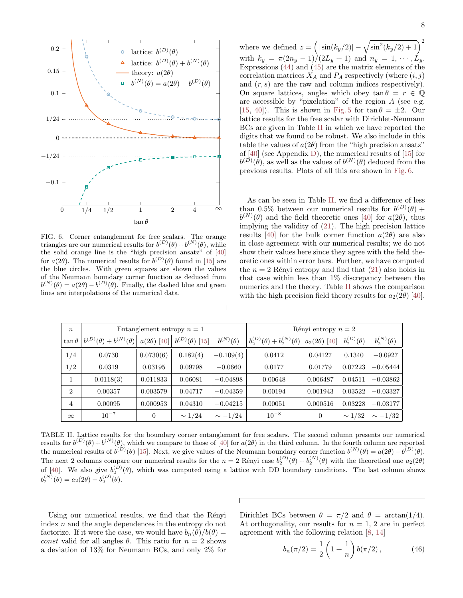

<span id="page-7-0"></span>FIG. 6. Corner entanglement for free scalars. The orange triangles are our numerical results for  $b^{(D)}(\theta) + b^{(N)}(\theta)$ , while the solid orange line is the "high precision ansatz" of [\[40\]](#page-17-15) for  $a(2\theta)$ . The numerical results for  $b^{(D)}(\theta)$  found in [\[15\]](#page-16-10) are the blue circles. With green squares are shown the values of the Neumann boundary corner function as deduced from  $b^{(N)}(\theta) = a(2\theta) - b^{(D)}(\theta)$ . Finally, the dashed blue and green lines are interpolations of the numerical data.

where we defined  $z = \left( |\sin(k_y/2)| - \sqrt{\sin^2(k_y/2) + 1} \right)^2$ with  $k_y = \pi (2n_y - 1)/(2L_y + 1)$  and  $n_y = 1, \dots, L_y$ . Expressions [\(44\)](#page-6-3) and [\(45\)](#page-6-3) are the matrix elements of the correlation matrices  $X_A$  and  $P_A$  respectively (where  $(i, j)$ ) and  $(r, s)$  are the raw and column indices respectively). On square lattices, angles which obey  $\tan \theta = r \in \mathbb{Q}$ are accessible by "pixelation" of the region A (see e.g. [\[15,](#page-16-10) [40\]](#page-17-15)). This is shown in [Fig.](#page-6-2) [5](#page-6-2) for  $\tan \theta = \pm 2$ . Our lattice results for the free scalar with Dirichlet-Neumann BCs are given in Table [II](#page-7-1) in which we have reported the digits that we found to be robust. We also include in this table the values of  $a(2\theta)$  from the "high precision ansatz" of [\[40\]](#page-17-15) (see Appendix [D\)](#page-15-1), the numerical results of [\[15\]](#page-16-10) for  $b^{(D)}(\theta)$ , as well as the values of  $b^{(N)}(\theta)$  deduced from the previous results. Plots of all this are shown in [Fig.](#page-7-0) [6.](#page-7-0)

As can be seen in Table [II,](#page-7-1) we find a difference of less than 0.5% between our numerical results for  $b^{(D)}(\theta)$  +  $b^{(N)}(\theta)$  and the field theoretic ones [\[40\]](#page-17-15) for  $a(2\theta)$ , thus implying the validity of [\(21\)](#page-4-5). The high precision lattice results [\[40\]](#page-17-15) for the bulk corner function  $a(2\theta)$  are also in close agreement with our numerical results; we do not show their values here since they agree with the field theoretic ones within error bars. Further, we have computed the  $n = 2$  Rényi entropy and find that [\(21\)](#page-4-5) also holds in that case within less than 1% discrepancy between the numerics and the theory. Table [II](#page-7-1) shows the comparison with the high precision field theory results for  $a_2(2\theta)$  [\[40\]](#page-17-15).

| $\boldsymbol{n}$ | Entanglement entropy $n=1$          |                   |                                     | Rényi entropy $n=2$ |                                         |                     |                     |                     |
|------------------|-------------------------------------|-------------------|-------------------------------------|---------------------|-----------------------------------------|---------------------|---------------------|---------------------|
| $\tan \theta$    | $b^{(D)}(\theta) + b^{(N)}(\theta)$ | $a(2\theta)$ [40] | $b^{(D)}(\theta)$ [15] <sup>1</sup> | $b^{(N)}(\theta)$   | $b_2^{(D)}(\theta) + b_2^{(N)}(\theta)$ | $a_2(2\theta)$ [40] | $b_2^{(D)}(\theta)$ | $b_2^{(N)}(\theta)$ |
| 1/4              | 0.0730                              | 0.0730(6)         | 0.182(4)                            | $-0.109(4)$         | 0.0412                                  | 0.04127             | 0.1340              | $-0.0927$           |
| 1/2              | 0.0319                              | 0.03195           | 0.09798                             | $-0.0660$           | 0.0177                                  | 0.01779             | 0.07223             | $-0.05444$          |
|                  | 0.0118(3)                           | 0.011833          | 0.06081                             | $-0.04898$          | 0.00648                                 | 0.006487            | 0.04511             | $-0.03862$          |
| $\overline{2}$   | 0.00357                             | 0.003579          | 0.04717                             | $-0.04359$          | 0.00194                                 | 0.001943            | 0.03522             | $-0.03327$          |
| 4                | 0.00095                             | 0.000953          | 0.04310                             | $-0.04215$          | 0.00051                                 | 0.000516            | 0.03228             | $-0.03177$          |
| $\infty$         | $10^{-7}$                           | $\overline{0}$    | $\sim 1/24$                         | $\sim -1/24$        | $10^{-8}$                               | 0                   | $\sim 1/32$         | $\sim -1/32$        |

<span id="page-7-1"></span>TABLE II. Lattice results for the boundary corner entanglement for free scalars. The second column presents our numerical results for  $b^{(D)}(\theta) + b^{(N)}(\theta)$ , which we compare to those of [\[40\]](#page-17-15) for  $a(2\theta)$  in the third column. In the fourth column are reported the numerical results of  $b^{(D)}(\theta)$  [\[15\]](#page-16-10). Next, we give values of the Neumann boundary corner function  $b^{(N)}(\theta) = a(2\theta) - b^{(D)}(\theta)$ . The next 2 columns compare our numerical results for the  $n = 2$  Rényi case  $b_2^{(D)}(\theta) + b_2^{(N)}(\theta)$  with the theoretical one  $a_2(2\theta)$ of [\[40\]](#page-17-15). We also give  $b_2^{(D)}(\theta)$ , which was computed using a lattice with DD boundary conditions. The last column shows  $b_2^{(N)}(\theta) = a_2(2\theta) - b_2^{(D)}(\theta).$ 

Using our numerical results, we find that the Rényi index n and the angle dependences in the entropy do not factorize. If it were the case, we would have  $b_n(\theta)/b(\theta) =$ const valid for all angles  $\theta$ . This ratio for  $n = 2$  shows a deviation of 13% for Neumann BCs, and only 2% for Dirichlet BCs between  $\theta = \pi/2$  and  $\theta = \arctan(1/4)$ . At orthogonality, our results for  $n = 1, 2$  are in perfect agreement with the following relation [\[8,](#page-16-8) [14\]](#page-16-9)

<span id="page-7-2"></span>
$$
b_n(\pi/2) = \frac{1}{2} \left( 1 + \frac{1}{n} \right) b(\pi/2), \tag{46}
$$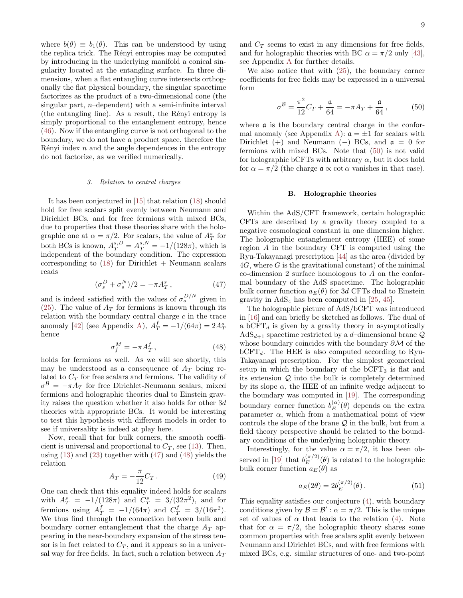where  $b(\theta) \equiv b_1(\theta)$ . This can be understood by using the replica trick. The Rényi entropies may be computed by introducing in the underlying manifold a conical singularity located at the entangling surface. In three dimensions, when a flat entangling curve intersects orthogonally the flat physical boundary, the singular spacetime factorizes as the product of a two-dimensional cone (the singular part,  $n$ -dependent) with a semi-infinite interval (the entangling line). As a result, the Rényi entropy is simply proportional to the entanglement entropy, hence [\(46\)](#page-7-2). Now if the entangling curve is not orthogonal to the boundary, we do not have a product space, therefore the Rényi index  $n$  and the angle dependences in the entropy do not factorize, as we verified numerically.

## 3. Relation to central charges

<span id="page-8-0"></span>It has been conjectured in [\[15\]](#page-16-10) that relation [\(18\)](#page-4-2) should hold for free scalars split evenly between Neumann and Dirichlet BCs, and for free fermions with mixed BCs, due to properties that these theories share with the holographic one at  $\alpha = \pi/2$ . For scalars, the value of  $A_T^s$  for both BCs is known,  $A_T^{s,D} = A_T^{s,N} = -1/(128\pi)$ , which is independent of the boundary condition. The expression corresponding to  $(18)$  for Dirichlet + Neumann scalars reads

<span id="page-8-2"></span>
$$
(\sigma_s^D + \sigma_s^N)/2 = -\pi A_T^s \,,\tag{47}
$$

and is indeed satisfied with the values of  $\sigma_s^{D/N}$  given in [\(25\)](#page-5-5). The value of  $A_T$  for fermions is known through its relation with the boundary central charge  $c$  in the trace anomaly [\[42\]](#page-17-17) (see Appendix [A\)](#page-13-0),  $A_T^f = -1/(64\pi) = 2A_T^s$ hence

<span id="page-8-3"></span>
$$
\sigma_f^M = -\pi A_T^f \,,\tag{48}
$$

holds for fermions as well. As we will see shortly, this may be understood as a consequence of  $A_T$  being related to  $C_T$  for free scalars and fermions. The validity of  $\sigma^{\mathcal{B}} = -\pi A_T$  for free Dirichlet-Neumann scalars, mixed fermions and holographic theories dual to Einstein gravity raises the question whether it also holds for other 3d theories with appropriate BCs. It would be interesting to test this hypothesis with different models in order to see if universality is indeed at play here.

Now, recall that for bulk corners, the smooth coefficient is universal and proportional to  $C_T$ , see [\(13\)](#page-3-4). Then, using  $(13)$  and  $(23)$  together with  $(47)$  and  $(48)$  yields the relation

<span id="page-8-6"></span>
$$
A_T = -\frac{\pi}{12} C_T \,. \tag{49}
$$

One can check that this equality indeed holds for scalars with  $A_T^s = -1/(128\pi)$  and  $C_T^s = 3/(32\pi^2)$ , and for fermions using  $A_T^f = -1/(64\pi)$  and  $C_T^f = 3/(16\pi^2)$ . We thus find through the connection between bulk and boundary corner entanglement that the charge  $A_T$  appearing in the near-boundary expansion of the stress tensor is in fact related to  $C_T$ , and it appears so in a universal way for free fields. In fact, such a relation between  $A_T$  and  $C_T$  seems to exist in any dimensions for free fields, and for holographic theories with BC  $\alpha = \pi/2$  only [\[43\]](#page-17-18), see Appendix [A](#page-13-0) for further details.

We also notice that with [\(25\)](#page-5-5), the boundary corner coefficients for free fields may be expressed in a universal form

<span id="page-8-4"></span>
$$
\sigma^{\mathcal{B}} = \frac{\pi^2}{12} C_T + \frac{\mathfrak{a}}{64} = -\pi A_T + \frac{\mathfrak{a}}{64},\tag{50}
$$

where  $\alpha$  is the boundary central charge in the confor-mal anomaly (see Appendix [A\)](#page-13-0):  $\mathfrak{a} = \pm 1$  for scalars with Dirichlet (+) and Neumann (−) BCs, and  $\mathfrak{a} = 0$  for fermions with mixed BCs. Note that [\(50\)](#page-8-4) is not valid for holographic bCFTs with arbitrary  $\alpha$ , but it does hold for  $\alpha = \pi/2$  (the charge  $\mathfrak{a} \propto \cot \alpha$  vanishes in that case).

## B. Holographic theories

<span id="page-8-1"></span>Within the AdS/CFT framework, certain holographic CFTs are described by a gravity theory coupled to a negative cosmological constant in one dimension higher. The holographic entanglement entropy (HEE) of some region A in the boundary CFT is computed using the Ryu-Takayanagi prescription [\[44\]](#page-17-19) as the area (divided by  $4G$ , where G is the gravitational constant) of the minimal co-dimension 2 surface homologous to A on the conformal boundary of the AdS spacetime. The holographic bulk corner function  $a_E(\theta)$  for 3d CFTs dual to Einstein gravity in  $AdS_4$  has been computed in [\[25,](#page-17-0) [45\]](#page-17-20).

The holographic picture of AdS/bCFT was introduced in [\[16\]](#page-16-11) and can briefly be sketched as follows. The dual of a bCFT $_d$  is given by a gravity theory in asymptotically  $AdS_{d+1}$  spacetime restricted by a d–dimensional brane Q whose boundary coincides with the boundary  $\partial M$  of the  $bCFT<sub>d</sub>$ . The HEE is also computed according to Ryu-Takayanagi prescription. For the simplest geometrical setup in which the boundary of the  $bCFT_3$  is flat and its extension  $Q$  into the bulk is completely determined by its slope  $\alpha$ , the HEE of an infinite wedge adjacent to the boundary was computed in [\[19\]](#page-16-21). The corresponding boundary corner function  $b_E^{(\alpha)}$  $E^{(\alpha)}(\theta)$  depends on the extra parameter  $\alpha$ , which from a mathematical point of view controls the slope of the brane  $Q$  in the bulk, but from a field theory perspective should be related to the boundary conditions of the underlying holographic theory.

Interestingly, for the value  $\alpha = \pi/2$ , it has been ob-served in [\[19\]](#page-16-21) that  $b_E^{(\pi/2)}$  $E(E^{(\pi/2)}(\theta))$  is related to the holographic bulk corner function  $a_E(\theta)$  as

<span id="page-8-5"></span>
$$
a_E(2\theta) = 2b_E^{(\pi/2)}(\theta).
$$
 (51)

This equality satisfies our conjecture [\(4\)](#page-2-2), with boundary conditions given by  $\mathcal{B} = \mathcal{B}' : \alpha = \pi/2$ . This is the unique set of values of  $\alpha$  that leads to the relation [\(4\)](#page-2-2). Note that for  $\alpha = \pi/2$ , the holographic theory shares some common properties with free scalars split evenly between Neumann and Dirichlet BCs, and with free fermions with mixed BCs, e.g. similar structures of one- and two-point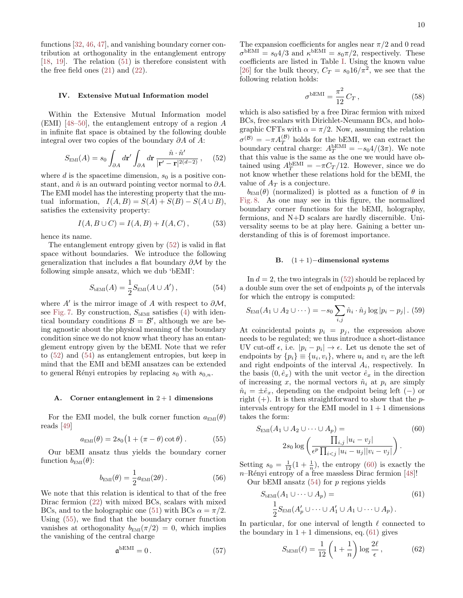functions [\[32,](#page-17-7) [46,](#page-17-21) [47\]](#page-17-22), and vanishing boundary corner contribution at orthogonality in the entanglement entropy [\[18,](#page-16-20) [19\]](#page-16-21). The relation [\(51\)](#page-8-5) is therefore consistent with the free field ones  $(21)$  and  $(22)$ .

# <span id="page-9-0"></span>IV. Extensive Mutual Information model

Within the Extensive Mutual Information model (EMI) [\[48–](#page-17-23)[50\]](#page-17-24), the entanglement entropy of a region A in infinite flat space is obtained by the following double integral over two copies of the boundary ∂A of A:

<span id="page-9-3"></span>
$$
S_{\text{EMI}}(A) = s_0 \int_{\partial A} d\mathbf{r}' \int_{\partial A} d\mathbf{r} \, \frac{\hat{n} \cdot \hat{n}'}{|\mathbf{r}' - \mathbf{r}|^{2(d-2)}}, \quad (52)
$$

where  $d$  is the spacetime dimension,  $s_0$  is a positive constant, and  $\hat{n}$  is an outward pointing vector normal to  $\partial A$ . The EMI model has the interesting property that the mutual information,  $I(A, B) = S(A) + S(B) - S(A \cup B)$ , satisfies the extensivity property:

$$
I(A, B \cup C) = I(A, B) + I(A, C), \tag{53}
$$

hence its name.

The entanglement entropy given by [\(52\)](#page-9-3) is valid in flat space without boundaries. We introduce the following generalization that includes a flat boundary  $\partial M$  by the following simple ansatz, which we dub 'bEMI':

<span id="page-9-4"></span>
$$
S_{\text{bEMI}}(A) = \frac{1}{2} S_{\text{EMI}}(A \cup A'), \qquad (54)
$$

where  $A'$  is the mirror image of A with respect to  $\partial M$ , see [Fig.](#page-10-2) [7.](#page-10-2) By construction,  $S_{\text{bEMI}}$  satisfies [\(4\)](#page-2-2) with identical boundary conditions  $\mathcal{B} = \mathcal{B}'$ , although we are being agnostic about the physical meaning of the boundary condition since we do not know what theory has an entanglement entropy given by the bEMI. Note that we refer to [\(52\)](#page-9-3) and [\(54\)](#page-9-4) as entanglement entropies, but keep in mind that the EMI and bEMI ansatzes can be extended to general Rényi entropies by replacing  $s_0$  with  $s_{0,n}$ .

#### <span id="page-9-1"></span>A. Corner entanglement in  $2 + 1$  dimensions

For the EMI model, the bulk corner function  $a_{\text{EMI}}(\theta)$ reads [\[49\]](#page-17-25)

<span id="page-9-5"></span>
$$
a_{\text{EMI}}(\theta) = 2s_0 \big(1 + (\pi - \theta)\cot\theta\big). \tag{55}
$$

Our bEMI ansatz thus yields the boundary corner function  $b_{\text{EMI}}(\theta)$ :

$$
b_{\text{EMI}}(\theta) = \frac{1}{2} a_{\text{EMI}}(2\theta).
$$
 (56)

We note that this relation is identical to that of the free Dirac fermion [\(22\)](#page-4-6) with mixed BCs, scalars with mixed BCs, and to the holographic one [\(51\)](#page-8-5) with BCs  $\alpha = \pi/2$ . Using [\(55\)](#page-9-5), we find that the boundary corner function vanishes at orthogonality  $b_{\text{EMI}}(\pi/2) = 0$ , which implies the vanishing of the central charge

$$
\mathfrak{a}^{\mathrm{bEMI}} = 0. \tag{57}
$$

The expansion coefficients for angles near  $\pi/2$  and 0 read  $\sigma^{\text{bEMI}} = s_0 4/3$  and  $\kappa^{\text{bEMI}} = s_0 \pi/2$ , respectively. These coefficients are listed in Table [I.](#page-4-1) Using the known value [\[26\]](#page-17-1) for the bulk theory,  $C_T = s_0 16/\pi^2$ , we see that the following relation holds:

$$
\sigma^{\text{bEMI}} = \frac{\pi^2}{12} C_T \,, \tag{58}
$$

which is also satisfied by a free Dirac fermion with mixed BCs, free scalars with Dirichlet-Neumann BCs, and holographic CFTs with  $\alpha = \pi/2$ . Now, assuming the relation  $\sigma^{(\mathcal{B})} = -\pi A_T^{(\mathcal{B})}$  holds for the bEMI, we can extract the boundary central charge:  $A_T^{\text{bEMI}} = -s_0 4/(3\pi)$ . We note that this value is the same as the one we would have obtained using  $A_T^{\text{bEMI}} = -\pi C_T/12$ . However, since we do not know whether these relations hold for the bEMI, the value of  $A_T$  is a conjecture.

 $b_{\text{EMI}}(\theta)$  (normalized) is plotted as a function of  $\theta$  in [Fig.](#page-12-1) [8.](#page-12-1) As one may see in this figure, the normalized boundary corner functions for the bEMI, holography, fermions, and N+D scalars are hardly discernible. Universality seems to be at play here. Gaining a better understanding of this is of foremost importance.

## B.  $(1+1)$ −dimensional systems

<span id="page-9-2"></span>In  $d = 2$ , the two integrals in [\(52\)](#page-9-3) should be replaced by a double sum over the set of endpoints  $p_i$  of the intervals for which the entropy is computed:

$$
S_{\text{EMI}}(A_1 \cup A_2 \cup \cdots) = -s_0 \sum_{i,j} \hat{n}_i \cdot \hat{n}_j \log |p_i - p_j|.
$$
 (59)

At coincidental points  $p_i = p_j$ , the expression above needs to be regulated; we thus introduce a short-distance UV cut-off  $\epsilon$ , i.e.  $|p_i - p_i| \to \epsilon$ . Let us denote the set of endpoints by  $\{p_i\} \equiv \{u_i, v_i\}$ , where  $u_i$  and  $v_i$  are the left and right endpoints of the interval  $A_i$ , respectively. In the basis  $(0, \hat{e}_x)$  with the unit vector  $\hat{e}_x$  in the direction of increasing x, the normal vectors  $\hat{n}_i$  at  $p_i$  are simply  $\hat{n}_i = \pm \hat{e}_x$ , depending on the endpoint being left (−) or right  $(+)$ . It is then straightforward to show that the pintervals entropy for the EMI model in  $1 + 1$  dimensions takes the form:

<span id="page-9-6"></span>
$$
S_{\text{EMI}}(A_1 \cup A_2 \cup \dots \cup A_p) =
$$
  
 
$$
2s_0 \log \left( \frac{\prod_{i,j} |u_i - v_j|}{\epsilon^p \prod_{i < j} |u_i - u_j| |v_i - v_j|} \right).
$$
 (60)

Setting  $s_0 = \frac{1}{12}(1 + \frac{1}{n})$ , the entropy [\(60\)](#page-9-6) is exactly the  $n-$ Rényi entropy of a free massless Dirac fermion [\[48\]](#page-17-23)!

Our bEMI ansatz  $(54)$  for p regions yields

<span id="page-9-7"></span>
$$
S_{\text{bEMI}}(A_1 \cup \dots \cup A_p) = \qquad (61)
$$

$$
\frac{1}{2} S_{\text{EMI}}(A'_p \cup \dots \cup A'_1 \cup A_1 \cup \dots \cup A_p).
$$

In particular, for one interval of length  $\ell$  connected to the boundary in  $1 + 1$  dimensions, eq. [\(61\)](#page-9-7) gives

$$
S_{\text{bEMI}}(\ell) = \frac{1}{12} \left( 1 + \frac{1}{n} \right) \log \frac{2\ell}{\epsilon},\tag{62}
$$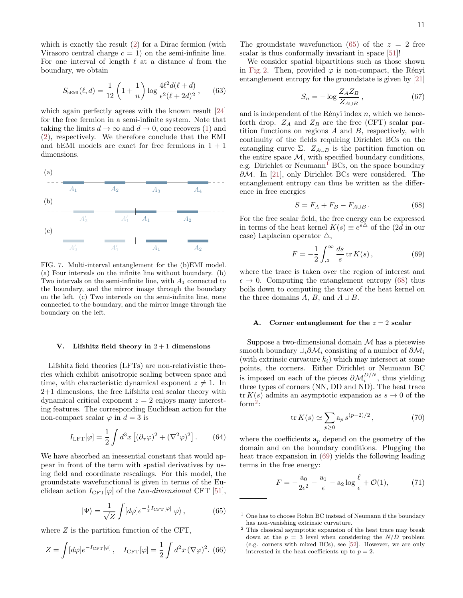$$
S_{\text{bEMI}}(\ell, d) = \frac{1}{12} \left( 1 + \frac{1}{n} \right) \log \frac{4\ell^2 d(\ell + d)}{\epsilon^2 (\ell + 2d)^2}, \qquad (63)
$$

which again perfectly agrees with the known result [\[24\]](#page-16-19) for the free fermion in a semi-infinite system. Note that taking the limits  $d \to \infty$  and  $d \to 0$ , one recovers [\(1\)](#page-1-3) and [\(2\)](#page-1-4), respectively. We therefore conclude that the EMI and bEMI models are exact for free fermions in  $1 + 1$ dimensions.



<span id="page-10-2"></span>FIG. 7. Multi-interval entanglement for the (b)EMI model. (a) Four intervals on the infinite line without boundary. (b) Two intervals on the semi-infinite line, with  $A_1$  connected to the boundary, and the mirror image through the boundary on the left. (c) Two intervals on the semi-infinite line, none connected to the boundary, and the mirror image through the boundary on the left.

## <span id="page-10-0"></span>V. Lifshitz field theory in  $2+1$  dimensions

Lifshitz field theories (LFTs) are non-relativistic theories which exhibit anisotropic scaling between space and time, with characteristic dynamical exponent  $z \neq 1$ . In 2+1 dimensions, the free Lifshitz real scalar theory with dynamical critical exponent  $z = 2$  enjoys many interesting features. The corresponding Euclidean action for the non-compact scalar  $\varphi$  in  $d = 3$  is

$$
I_{\rm LFT}[\varphi] = \frac{1}{2} \int d^3x \left[ (\partial_\tau \varphi)^2 + (\nabla^2 \varphi)^2 \right]. \tag{64}
$$

We have absorbed an inessential constant that would appear in front of the term with spatial derivatives by using field and coordinate rescalings. For this model, the groundstate wavefunctional is given in terms of the Euclidean action  $I_{\text{CFT}}[\varphi]$  of the two-dimensional CFT [\[51\]](#page-17-26),

<span id="page-10-3"></span>
$$
|\Psi\rangle = \frac{1}{\sqrt{Z}} \int [d\varphi] e^{-\frac{1}{2}I_{\text{CFT}}[\varphi]} |\varphi\rangle , \qquad (65)
$$

where  $Z$  is the partition function of the CFT,

$$
Z = \int [d\varphi] e^{-I_{\text{CFT}}[\varphi]}, \quad I_{\text{CFT}}[\varphi] = \frac{1}{2} \int d^2x \, (\nabla \varphi)^2. \tag{66}
$$

The groundstate wavefunction [\(65\)](#page-10-3) of the  $z = 2$  free scalar is thus conformally invariant in space [\[51\]](#page-17-26)!

We consider spatial bipartitions such as those shown in [Fig.](#page-3-1) [2.](#page-3-1) Then, provided  $\varphi$  is non-compact, the Rényi entanglement entropy for the groundstate is given by [\[21\]](#page-16-13)

$$
S_n = -\log \frac{Z_A Z_B}{Z_{A \cup B}},\tag{67}
$$

and is independent of the Rényi index  $n$ , which we henceforth drop.  $Z_A$  and  $Z_B$  are the free (CFT) scalar partition functions on regions  $A$  and  $B$ , respectively, with continuity of the fields requiring Dirichlet BCs on the entangling curve  $\Sigma$ .  $Z_{A\cup B}$  is the partition function on the entire space  $M$ , with specified boundary conditions, e.g. Dirichlet or  $Neumann<sup>1</sup> BCs$  $Neumann<sup>1</sup> BCs$  $Neumann<sup>1</sup> BCs$ , on the space boundary ∂M. In [\[21\]](#page-16-13), only Dirichlet BCs were considered. The entanglement entropy can thus be written as the difference in free energies

<span id="page-10-5"></span>
$$
S = F_A + F_B - F_{A \cup B} \,. \tag{68}
$$

For the free scalar field, the free energy can be expressed in terms of the heat kernel  $K(s) \equiv e^{s\Delta}$  of the  $(2d$  in our case) Laplacian operator  $\triangle$ ,

<span id="page-10-7"></span>
$$
F = -\frac{1}{2} \int_{\epsilon^2}^{\infty} \frac{ds}{s} \operatorname{tr} K(s) , \qquad (69)
$$

where the trace is taken over the region of interest and  $\epsilon \to 0$ . Computing the entanglement entropy [\(68\)](#page-10-5) thus boils down to computing the trace of the heat kernel on the three domains  $A, B$ , and  $A \cup B$ .

## <span id="page-10-1"></span>A. Corner entanglement for the  $z = 2$  scalar

Suppose a two-dimensional domain  $\mathcal M$  has a piecewise smooth boundary  $\cup_i \partial \mathcal{M}_i$  consisting of a number of  $\partial \mathcal{M}_i$ (with extrinsic curvature  $k_i$ ) which may intersect at some points, the corners. Either Dirichlet or Neumann BC is imposed on each of the pieces  $\partial \mathcal{M}_i^{D/N}$ , thus yielding three types of corners (NN, DD and ND). The heat trace  $tr K(s)$  admits an asymptotic expansion as  $s \to 0$  of the  $form<sup>2</sup>$  $form<sup>2</sup>$  $form<sup>2</sup>$ :

$$
\text{tr}\,K(s) \simeq \sum_{p\geq 0} a_p \, s^{(p-2)/2} \,,\tag{70}
$$

where the coefficients  $a_p$  depend on the geometry of the domain and on the boundary conditions. Plugging the heat trace expansion in [\(69\)](#page-10-7) yields the following leading terms in the free energy:

$$
F = -\frac{a_0}{2\epsilon^2} - \frac{a_1}{\epsilon} - a_2 \log \frac{\ell}{\epsilon} + \mathcal{O}(1),\tag{71}
$$

<span id="page-10-4"></span> $1$  One has to choose Robin BC instead of Neumann if the boundary has non-vanishing extrinsic curvature.

<span id="page-10-6"></span><sup>2</sup> This classical asymptotic expansion of the heat trace may break down at the  $p = 3$  level when considering the  $N/D$  problem (e.g. corners with mixed BCs), see [\[52\]](#page-17-27). However, we are only interested in the heat coefficients up to  $p = 2$ .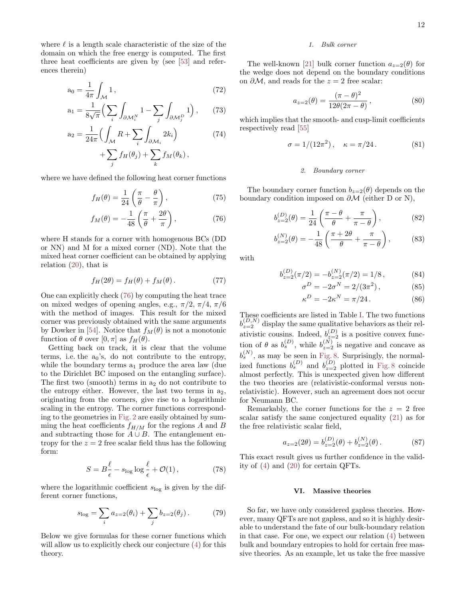where  $\ell$  is a length scale characteristic of the size of the domain on which the free energy is computed. The first three heat coefficients are given by (see [\[53\]](#page-17-28) and references therein)

$$
a_0 = \frac{1}{4\pi} \int_{\mathcal{M}} 1, \qquad (72)
$$

$$
\mathbf{a}_1 = \frac{1}{8\sqrt{\pi}} \Big( \sum_i \int_{\partial \mathcal{M}_i^N} 1 - \sum_j \int_{\partial \mathcal{M}_j^D} 1 \Big), \qquad (73)
$$

$$
a_2 = \frac{1}{24\pi} \Big( \int_{\mathcal{M}} R + \sum_{i} \int_{\partial \mathcal{M}_i} 2k_i \Big) + \sum_{j} f_H(\theta_j) + \sum_{k} f_M(\theta_k), \tag{74}
$$

where we have defined the following heat corner functions

<span id="page-11-3"></span>
$$
f_H(\theta) = \frac{1}{24} \left( \frac{\pi}{\theta} - \frac{\theta}{\pi} \right),\tag{75}
$$

$$
f_M(\theta) = -\frac{1}{48} \left( \frac{\pi}{\theta} + \frac{2\theta}{\pi} \right),\tag{76}
$$

where H stands for a corner with homogenous BCs (DD or NN) and M for a mixed corner (ND). Note that the mixed heat corner coefficient can be obtained by applying relation [\(20\)](#page-4-4), that is

$$
f_H(2\theta) = f_H(\theta) + f_M(\theta). \tag{77}
$$

One can explicitly check [\(76\)](#page-11-3) by computing the heat trace on mixed wedges of opening angles, e.g.,  $\pi/2$ ,  $\pi/4$ ,  $\pi/6$ with the method of images. This result for the mixed corner was previously obtained with the same arguments by Dowker in [\[54\]](#page-17-29). Notice that  $f_M(\theta)$  is not a monotonic function of  $\theta$  over  $[0, \pi]$  as  $f_H(\theta)$ .

Getting back on track, it is clear that the volume terms, i.e. the  $a_0$ 's, do not contribute to the entropy, while the boundary terms  $a_1$  produce the area law (due to the Dirichlet BC imposed on the entangling surface). The first two (smooth) terms in  $a_2$  do not contribute to the entropy either. However, the last two terms in  $a_2$ , originating from the corners, give rise to a logarithmic scaling in the entropy. The corner functions corresponding to the geometries in [Fig.](#page-3-1) [2](#page-3-1) are easily obtained by summing the heat coefficients  $f_{H/M}$  for the regions A and B and subtracting those for  $A \cup B$ . The entanglement entropy for the  $z = 2$  free scalar field thus has the following form:

$$
S = B \frac{\ell}{\epsilon} - s_{\log} \log \frac{\ell}{\epsilon} + \mathcal{O}(1) \,, \tag{78}
$$

where the logarithmic coefficient  $s_{\text{log}}$  is given by the different corner functions,

$$
s_{\log} = \sum_{i} a_{z=2}(\theta_i) + \sum_{j} b_{z=2}(\theta_j).
$$
 (79)

<span id="page-11-0"></span>Below we give formulas for these corner functions which will allow us to explicitly check our conjecture  $(4)$  for this theory.

## 1. Bulk corner

The well-known [\[21\]](#page-16-13) bulk corner function  $a_{z=2}(\theta)$  for the wedge does not depend on the boundary conditions on  $\partial M$ , and reads for the  $z = 2$  free scalar:

$$
a_{z=2}(\theta) = \frac{(\pi - \theta)^2}{12\theta(2\pi - \theta)},
$$
\n(80)

which implies that the smooth- and cusp-limit coefficients respectively read [\[55\]](#page-17-30)

$$
\sigma = 1/(12\pi^2), \quad \kappa = \pi/24. \tag{81}
$$

## 2. Boundary corner

<span id="page-11-1"></span>The boundary corner function  $b_{z=2}(\theta)$  depends on the boundary condition imposed on  $\partial M$  (either D or N),

<span id="page-11-4"></span>
$$
b_{z=2}^{(D)}(\theta) = \frac{1}{24} \left( \frac{\pi - \theta}{\theta} + \frac{\pi}{\pi - \theta} \right),\tag{82}
$$

$$
b_{z=2}^{(N)}(\theta) = -\frac{1}{48} \left( \frac{\pi + 2\theta}{\theta} + \frac{\pi}{\pi - \theta} \right),\tag{83}
$$

with

$$
b_{z=2}^{(D)}(\pi/2) = -b_{z=2}^{(N)}(\pi/2) = 1/8, \qquad (84)
$$

$$
\sigma^D = -2\sigma^N = 2/(3\pi^2), \tag{85}
$$

$$
\kappa^D = -2\kappa^N = \pi/24. \tag{86}
$$

These coefficients are listed in Table [I.](#page-4-1) The two functions  $b_{z=2}^{(D,N)}$  display the same qualitative behaviors as their relativistic cousins. Indeed,  $b_{z=2}^{(D)}$  is a positive convex function of  $\theta$  as  $b_s^{(D)}$ , while  $b_{z=2}^{(N)}$  is negative and concave as  $b_s^{(N)}$ , as may be seen in [Fig.](#page-12-1) [8.](#page-12-1) Surprisingly, the normalized functions  $b_s^{(D)}$  and  $b_{z=2}^{(D)}$  plotted in [Fig.](#page-12-1) [8](#page-12-1) coincide almost perfectly. This is unexpected given how different the two theories are (relativistic-conformal versus nonrelativistic). However, such an agreement does not occur for Neumann BC.

Remarkably, the corner functions for the  $z = 2$  free scalar satisfy the same conjectured equality [\(21\)](#page-4-5) as for the free relativistic scalar field,

$$
a_{z=2}(2\theta) = b_{z=2}^{(D)}(\theta) + b_{z=2}^{(N)}(\theta).
$$
 (87)

<span id="page-11-2"></span>This exact result gives us further confidence in the validity of [\(4\)](#page-2-2) and [\(20\)](#page-4-4) for certain QFTs.

# VI. Massive theories

So far, we have only considered gapless theories. However, many QFTs are not gapless, and so it is highly desirable to understand the fate of our bulk-boundary relation in that case. For one, we expect our relation [\(4\)](#page-2-2) between bulk and boundary entropies to hold for certain free massive theories. As an example, let us take the free massive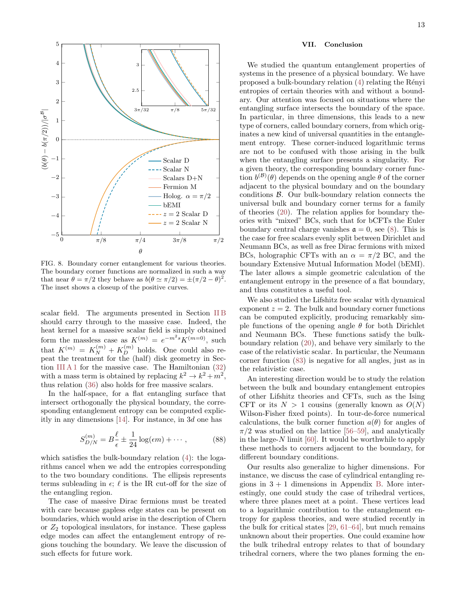

<span id="page-12-1"></span>FIG. 8. Boundary corner entanglement for various theories. The boundary corner functions are normalized in such a way that near  $\theta = \pi/2$  they behave as  $b(\theta \simeq \pi/2) = \pm (\pi/2 - \theta)^2$ . The inset shows a closeup of the positive curves.

scalar field. The arguments presented in Section [II B](#page-1-2) should carry through to the massive case. Indeed, the heat kernel for a massive scalar field is simply obtained form the massless case as  $K^{(m)} = e^{-m^2 s} K^{(m=0)}$ , such that  $K^{(m)} = K_N^{(m)} + K_D^{(m)}$  holds. One could also repeat the treatment for the (half) disk geometry in Section [III A 1](#page-5-0) for the massive case. The Hamiltonian [\(32\)](#page-5-6) with a mass term is obtained by replacing  $k^2 \to k^2 + m^2$ , thus relation [\(36\)](#page-5-4) also holds for free massive scalars.

In the half-space, for a flat entangling surface that intersect orthogonally the physical boundary, the corresponding entanglement entropy can be computed explicitly in any dimensions [\[14\]](#page-16-9). For instance, in 3d one has

$$
S_{D/N}^{(m)} = B \frac{\ell}{\epsilon} \pm \frac{1}{24} \log(\epsilon m) + \cdots, \qquad (88)
$$

which satisfies the bulk-boundary relation [\(4\)](#page-2-2): the logarithms cancel when we add the entropies corresponding to the two boundary conditions. The ellipsis represents terms subleading in  $\epsilon$ ;  $\ell$  is the IR cut-off for the size of the entangling region.

<span id="page-12-0"></span>The case of massive Dirac fermions must be treated with care because gapless edge states can be present on boundaries, which would arise in the description of Chern or  $Z_2$  topological insulators, for instance. These gapless edge modes can affect the entanglement entropy of regions touching the boundary. We leave the discussion of such effects for future work.

#### VII. Conclusion

We studied the quantum entanglement properties of systems in the presence of a physical boundary. We have proposed a bulk-boundary relation  $(4)$  relating the Rényi entropies of certain theories with and without a boundary. Our attention was focused on situations where the entangling surface intersects the boundary of the space. In particular, in three dimensions, this leads to a new type of corners, called boundary corners, from which originates a new kind of universal quantities in the entanglement entropy. These corner-induced logarithmic terms are not to be confused with those arising in the bulk when the entangling surface presents a singularity. For a given theory, the corresponding boundary corner function  $b^{(\mathcal{B})}(\theta)$  depends on the opening angle  $\theta$  of the corner adjacent to the physical boundary and on the boundary conditions  $\beta$ . Our bulk-boundary relation connects the universal bulk and boundary corner terms for a family of theories [\(20\)](#page-4-4). The relation applies for boundary theories with "mixed" BCs, such that for bCFTs the Euler boundary central charge vanishes  $\mathfrak{a} = 0$ , see [\(8\)](#page-2-5). This is the case for free scalars evenly split between Dirichlet and Neumann BCs, as well as free Dirac fermions with mixed BCs, holographic CFTs with an  $\alpha = \pi/2$  BC, and the boundary Extensive Mutual Information Model (bEMI). The later allows a simple geometric calculation of the entanglement entropy in the presence of a flat boundary, and thus constitutes a useful tool.

We also studied the Lifshitz free scalar with dynamical exponent  $z = 2$ . The bulk and boundary corner functions can be computed explicitly, producing remarkably simple functions of the opening angle  $\theta$  for both Dirichlet and Neumann BCs. These functions satisfy the bulkboundary relation [\(20\)](#page-4-4), and behave very similarly to the case of the relativistic scalar. In particular, the Neumann corner function [\(83\)](#page-11-4) is negative for all angles, just as in the relativistic case.

An interesting direction would be to study the relation between the bulk and boundary entanglement entropies of other Lifshitz theories and CFTs, such as the Ising CFT or its  $N > 1$  cousins (generally known as  $O(N)$ ) Wilson-Fisher fixed points). In tour-de-force numerical calculations, the bulk corner function  $a(\theta)$  for angles of  $\pi/2$  was studied on the lattice [\[56](#page-17-31)[–59\]](#page-17-32), and analytically in the large- $N$  limit [\[60\]](#page-17-33). It would be worthwhile to apply these methods to corners adjacent to the boundary, for different boundary conditions.

Our results also generalize to higher dimensions. For instance, we discuss the case of cylindrical entangling regions in  $3 + 1$  dimensions in Appendix [B.](#page-14-0) More interestingly, one could study the case of trihedral vertices, where three planes meet at a point. These vertices lead to a logarithmic contribution to the entanglement entropy for gapless theories, and were studied recently in the bulk for critical states [\[29,](#page-17-4) [61](#page-18-0)[–64\]](#page-18-1), but much remains unknown about their properties. One could examine how the bulk trihedral entropy relates to that of boundary trihedral corners, where the two planes forming the en-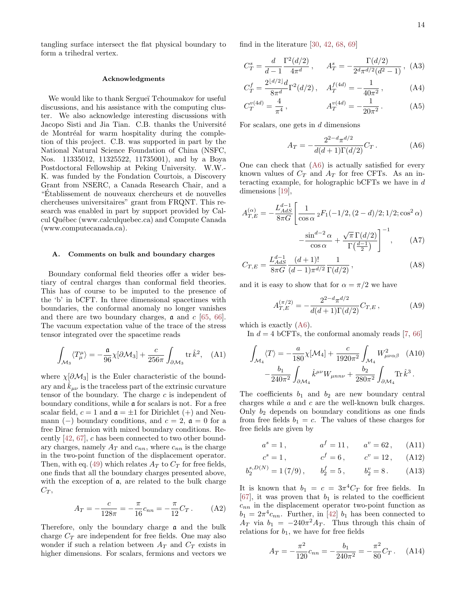tangling surface intersect the flat physical boundary to form a trihedral vertex.

## Acknowledgments

We would like to thank Sergueï Tchoumakov for useful discussions, and his assistance with the computing cluster. We also acknowledge interesting discussions with Jacopo Sisti and Jia Tian. C.B. thanks the Université de Montréal for warm hospitality during the completion of this project. C.B. was supported in part by the National Natural Science Foundation of China (NSFC, Nos. 11335012, 11325522, 11735001), and by a Boya Postdoctoral Fellowship at Peking University. W.W.- K. was funded by the Fondation Courtois, a Discovery Grant from NSERC, a Canada Research Chair, and a "Etablissement de nouveaux chercheurs et de nouvelles ´ chercheuses universitaires" grant from FRQNT. This research was enabled in part by support provided by Calcul Qu´ebec (www.calculquebec.ca) and Compute Canada (www.computecanada.ca).

#### <span id="page-13-0"></span>A. Comments on bulk and boundary charges

Boundary conformal field theories offer a wider bestiary of central charges than conformal field theories. This has of course to be imputed to the presence of the 'b' in bCFT. In three dimensional spacetimes with boundaries, the conformal anomaly no longer vanishes and there are two boundary charges,  $\boldsymbol{\mathfrak{a}}$  and  $\boldsymbol{\mathfrak{c}}$  [\[65,](#page-18-2) [66\]](#page-18-3). The vacuum expectation value of the trace of the stress tensor integrated over the spacetime reads

<span id="page-13-1"></span>
$$
\int_{\mathcal{M}_3} \langle T^{\mu}_{\mu} \rangle = -\frac{\mathfrak{a}}{96} \chi [\partial \mathcal{M}_3] + \frac{c}{256\pi} \int_{\partial \mathcal{M}_3} \text{tr}\,\hat{k}^2, \quad \text{(A1)}
$$

where  $\chi[\partial \mathcal{M}_3]$  is the Euler characteristic of the boundary and  $k_{\mu\nu}$  is the traceless part of the extrinsic curvature tensor of the boundary. The charge  $c$  is independent of boundary conditions, while a for scalars is not. For a free scalar field,  $c = 1$  and  $\mathfrak{a} = \pm 1$  for Dirichlet  $(+)$  and Neumann (−) boundary conditions, and  $c = 2$ ,  $\mathfrak{a} = 0$  for a free Dirac fermion with mixed boundary conditions. Recently [\[42,](#page-17-17) [67\]](#page-18-4), c has been connected to two other boundary charges, namely  $A_T$  and  $c_{nn}$ , where  $c_{nn}$  is the charge in the two-point function of the displacement operator. Then, with eq. [\(49\)](#page-8-6) which relates  $A_T$  to  $C_T$  for free fields, one finds that all the boundary charges presented above, with the exception of  $a$ , are related to the bulk charge  $C_T$ ,

$$
A_T = -\frac{c}{128\pi} = -\frac{\pi}{16}c_{nn} = -\frac{\pi}{12}C_T.
$$
 (A2)

Therefore, only the boundary charge a and the bulk charge  $C_T$  are independent for free fields. One may also wonder if such a relation between  $A_T$  and  $C_T$  exists in higher dimensions. For scalars, fermions and vectors we

find in the literature [\[30,](#page-17-5) [42,](#page-17-17) [68,](#page-18-5) [69\]](#page-18-6)

$$
C_T^s = \frac{d}{d-1} \frac{\Gamma^2(d/2)}{4\pi^d} , \qquad A_T^s = -\frac{\Gamma(d/2)}{2^d \pi^{d/2}(d^2-1)} , \tag{A3}
$$

$$
C_T^f = \frac{2^{\lfloor d/2 \rfloor} d}{8\pi^d} \Gamma^2(d/2), \quad A_T^{f(4d)} = -\frac{1}{40\pi^2}, \quad (A4)
$$

$$
C_T^{v(4d)} = \frac{4}{\pi^4}, \qquad A_T^{v(4d)} = -\frac{1}{20\pi^2}.
$$
 (A5)

For scalars, one gets in  $d$  dimensions

<span id="page-13-2"></span>
$$
A_T = -\frac{2^{2-d} \pi^{d/2}}{d(d+1)\Gamma(d/2)} C_T.
$$
 (A6)

One can check that [\(A6\)](#page-13-2) is actually satisfied for every known values of  $C_T$  and  $A_T$  for free CFTs. As an interacting example, for holographic bCFTs we have in  $d$ dimensions [\[19\]](#page-16-21),

$$
A_{T,E}^{(\alpha)} = -\frac{L_{AdS}^{d-1}}{8\pi G} \left[ \frac{1}{\cos \alpha} {}_2F_1(-1/2, (2-d)/2; 1/2; \cos^2 \alpha) -\frac{\sin^{d-2} \alpha}{\cos \alpha} + \frac{\sqrt{\pi} \Gamma(d/2)}{\Gamma(\frac{d-1}{2})} \right]^{-1}, \qquad (A7)
$$

$$
C_{T,E} = \frac{L_{AdS}^{d-1}}{8\pi G} \frac{(d+1)!}{(d-1)\pi^{d/2}} \frac{1}{\Gamma(d/2)},
$$
(A8)

and it is easy to show that for  $\alpha = \pi/2$  we have

$$
A_{T,E}^{(\pi/2)} = -\frac{2^{2-d}\pi^{d/2}}{d(d+1)\Gamma(d/2)} C_{T,E} ,\qquad (A9)
$$

which is exactly [\(A6\)](#page-13-2).

In  $d = 4$  bCFTs, the conformal anomaly reads [\[7,](#page-16-22) [66\]](#page-18-3)

$$
\int_{\mathcal{M}_4} \langle T \rangle = -\frac{a}{180} \chi [\mathcal{M}_4] + \frac{c}{1920\pi^2} \int_{\mathcal{M}_4} W_{\mu\nu\alpha\beta}^2 \quad (A10) -\frac{b_1}{240\pi^2} \int_{\partial \mathcal{M}_4} \hat{k}^{\mu\nu} W_{\mu n n \nu} + \frac{b_2}{280\pi^2} \int_{\partial \mathcal{M}_4} \text{Tr}\,\hat{k}^3.
$$

The coefficients  $b_1$  and  $b_2$  are new boundary central charges while  $a$  and  $c$  are the well-known bulk charges. Only  $b_2$  depends on boundary conditions as one finds from free fields  $b_1 = c$ . The values of these charges for free fields are given by

$$
a^s = 1, \t a^f = 11, \t a^v = 62, \t (A11)
$$

$$
c^s = 1
$$
,  $c^f = 6$ ,  $c^v = 12$ , (A12)

$$
b_2^{s,D(N)} = 1(7/9), \qquad b_2^f = 5, \qquad b_2^v = 8. \tag{A13}
$$

It is known that  $b_1 = c = 3\pi^4 C_T$  for free fields. In [\[67\]](#page-18-4), it was proven that  $b_1$  is related to the coefficient  $c_{nn}$  in the displacement operator two-point function as  $b_1 = 2\pi^4 c_{nn}$ . Further, in [\[42\]](#page-17-17)  $b_1$  has been connected to  $A_T$  via  $b_1 = -240\pi^2 A_T$ . Thus through this chain of relations for  $b_1$ , we have for free fields

$$
A_T = -\frac{\pi^2}{120}c_{nn} = -\frac{b_1}{240\pi^2} = -\frac{\pi^2}{80}C_T.
$$
 (A14)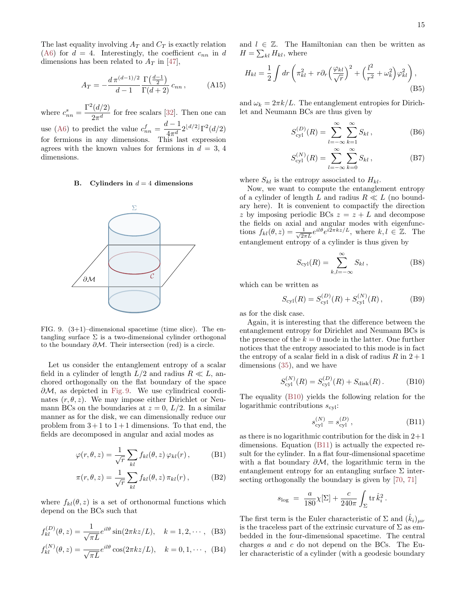The last equality involving  $A_T$  and  $C_T$  is exactly relation [\(A6\)](#page-13-2) for  $d = 4$ . Interestingly, the coefficient  $c_{nn}$  in d dimensions has been related to  $A_T$  in [\[47\]](#page-17-22),

$$
A_T = -\frac{d \pi^{(d-1)/2}}{d-1} \frac{\Gamma(\frac{d-1}{2})}{\Gamma(d+2)} c_{nn}, \qquad (A15)
$$

where  $c_{nn}^s = \frac{\Gamma^2(d/2)}{2\pi^d}$  $\frac{(\alpha/2)}{2\pi^d}$  for free scalars [\[32\]](#page-17-7). Then one can use [\(A6\)](#page-13-2) to predict the value  $c_{nn}^f = \frac{d-1}{4\pi d}$  $\frac{1}{4\pi^d} 2^{\lfloor d/2 \rfloor} \Gamma^2(d/2)$ for fermions in any dimensions. This last expression agrees with the known values for fermions in  $d = 3, 4$ dimensions.

# <span id="page-14-0"></span>B. Cylinders in  $d = 4$  dimensions



<span id="page-14-1"></span>FIG. 9.  $(3+1)$ –dimensional spacetime (time slice). The entangling surface  $\Sigma$  is a two-dimensional cylinder orthogonal to the boundary  $\partial M$ . Their intersection (red) is a circle.

Let us consider the entanglement entropy of a scalar field in a cylinder of length  $L/2$  and radius  $R \ll L$ , anchored orthogonally on the flat boundary of the space  $\partial M$ , as depicted in [Fig.](#page-14-1) [9.](#page-14-1) We use cylindrical coordinates  $(r, \theta, z)$ . We may impose either Dirichlet or Neumann BCs on the boundaries at  $z = 0$ ,  $L/2$ . In a similar manner as for the disk, we can dimensionally reduce our problem from  $3+1$  to  $1+1$  dimensions. To that end, the fields are decomposed in angular and axial modes as

$$
\varphi(r,\theta,z) = \frac{1}{\sqrt{r}} \sum_{kl} f_{kl}(\theta,z) \varphi_{kl}(r), \quad (B1)
$$

$$
\pi(r,\theta,z) = \frac{1}{\sqrt{r}} \sum_{kl} f_{kl}(\theta,z) \,\pi_{kl}(r) , \qquad (B2)
$$

where  $f_{kl}(\theta, z)$  is a set of orthonormal functions which depend on the BCs such that

$$
f_{kl}^{(D)}(\theta, z) = \frac{1}{\sqrt{\pi L}} e^{il\theta} \sin(2\pi kz/L), \quad k = 1, 2, \cdots, \quad (B3)
$$

$$
f_{kl}^{(N)}(\theta, z) = \frac{1}{\sqrt{\pi L}} e^{il\theta} \cos(2\pi kz/L), \quad k = 0, 1, \cdots, \text{ (B4)}
$$

and  $l \in \mathbb{Z}$ . The Hamiltonian can then be written as  $H = \sum_{kl} H_{kl}$ , where

$$
H_{kl} = \frac{1}{2} \int dr \left( \pi_{kl}^2 + r \partial_r \left( \frac{\varphi_{kl}}{\sqrt{r}} \right)^2 + \left( \frac{l^2}{r^2} + \omega_k^2 \right) \varphi_{kl}^2 \right),\tag{B5}
$$

and  $\omega_k = 2\pi k/L$ . The entanglement entropies for Dirichlet and Neumann BCs are thus given by

$$
S_{\text{cyl}}^{(D)}(R) = \sum_{l=-\infty}^{\infty} \sum_{k=1}^{\infty} S_{kl},
$$
 (B6)

$$
S_{\text{cyl}}^{(N)}(R) = \sum_{l=-\infty}^{\infty} \sum_{k=0}^{\infty} S_{kl} , \qquad (B7)
$$

where  $S_{kl}$  is the entropy associated to  $H_{kl}$ .

Now, we want to compute the entanglement entropy of a cylinder of length L and radius  $R \ll L$  (no boundary here). It is convenient to compactify the direction z by imposing periodic BCs  $z = z + L$  and decompose the fields on axial and angular modes with eigenfunctions  $f_{kl}(\theta, z) = \frac{1}{\sqrt{2\pi L}} e^{il\theta} e^{i\tilde{2}\pi kz/L}$ , where  $k, l \in \mathbb{Z}$ . The entanglement entropy of a cylinder is thus given by

$$
S_{\text{cyl}}(R) = \sum_{k,l=-\infty}^{\infty} S_{kl},
$$
 (B8)

which can be written as

<span id="page-14-4"></span>
$$
S_{\rm cyl}(R) = S_{\rm cyl}^{(D)}(R) + S_{\rm cyl}^{(N)}(R) , \qquad (B9)
$$

as for the disk case.

Again, it is interesting that the difference between the entanglement entropy for Dirichlet and Neumann BCs is the presence of the  $k = 0$  mode in the latter. One further notices that the entropy associated to this mode is in fact the entropy of a scalar field in a disk of radius  $R$  in  $2+1$ dimensions [\(35\)](#page-5-2), and we have

<span id="page-14-2"></span>
$$
S_{\text{cyl}}^{(N)}(R) = S_{\text{cyl}}^{(D)}(R) + S_{\text{disk}}(R). \tag{B10}
$$

The equality [\(B10\)](#page-14-2) yields the following relation for the logarithmic contributions  $s_{\text{cyl}}$ :

<span id="page-14-3"></span>
$$
s_{\text{cyl}}^{(N)} = s_{\text{cyl}}^{(D)},\tag{B11}
$$

as there is no logarithmic contribution for the disk in  $2+1$ dimensions. Equation [\(B11\)](#page-14-3) is actually the expected result for the cylinder. In a flat four-dimensional spacetime with a flat boundary  $\partial M$ , the logarithmic term in the entanglement entropy for an entangling surface  $\Sigma$  intersecting orthogonally the boundary is given by [\[70,](#page-18-7) [71\]](#page-18-8)

$$
s_{\log} = \frac{a}{180} \chi[\Sigma] + \frac{c}{240\pi} \int_{\Sigma} \text{tr} \,\hat{k}_i^2 \,.
$$

The first term is the Euler characteristic of  $\Sigma$  and  $(\hat{k}_i)_{\mu\nu}$ is the traceless part of the extrinsic curvature of  $\Sigma$  as embedded in the four-dimensional spacetime. The central charges a and c do not depend on the BCs. The Euler characteristic of a cylinder (with a geodesic boundary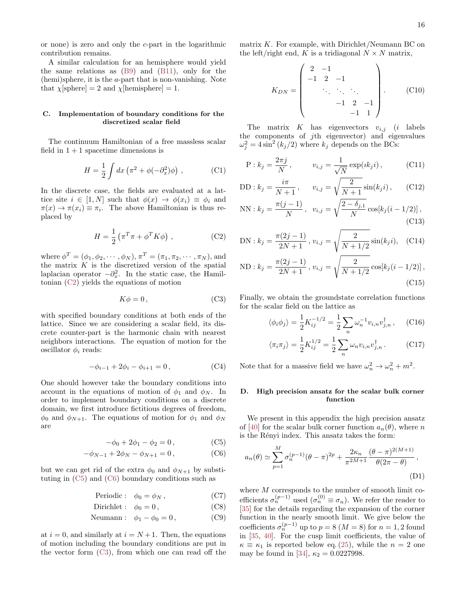or none) is zero and only the c-part in the logarithmic contribution remains.

A similar calculation for an hemisphere would yield the same relations as [\(B9\)](#page-14-4) and [\(B11\)](#page-14-3), only for the (hemi)sphere, it is the a-part that is non-vanishing. Note that  $\chi$ [sphere] = 2 and  $\chi$ [hemisphere] = 1.

## <span id="page-15-0"></span>C. Implementation of boundary conditions for the discretized scalar field

The continuum Hamiltonian of a free massless scalar field in  $1 + 1$  spacetime dimensions is

$$
H = \frac{1}{2} \int dx \left( \pi^2 + \phi(-\partial_x^2)\phi \right) , \qquad (C1)
$$

In the discrete case, the fields are evaluated at a lattice site  $i \in [1, N]$  such that  $\phi(x) \to \phi(x_i) \equiv \phi_i$  and  $\pi(x) \to \pi(x_i) \equiv \pi_i$ . The above Hamiltonian is thus replaced by

<span id="page-15-2"></span>
$$
H = \frac{1}{2} \left( \pi^T \pi + \phi^T K \phi \right) , \qquad (C2)
$$

where  $\phi^{T} = (\phi_1, \phi_2, \cdots, \phi_N), \pi^{T} = (\pi_1, \pi_2, \cdots, \pi_N),$  and the matrix  $K$  is the discretized version of the spatial laplacian operator  $-\partial_x^2$ . In the static case, the Hamiltonian [\(C2\)](#page-15-2) yields the equations of motion

<span id="page-15-4"></span>
$$
K\phi = 0, \t\t(C3)
$$

with specified boundary conditions at both ends of the lattice. Since we are considering a scalar field, its discrete counter-part is the harmonic chain with nearest neighbors interactions. The equation of motion for the oscillator  $\phi_i$  reads:

$$
-\phi_{i-1} + 2\phi_i - \phi_{i+1} = 0, \qquad (C4)
$$

One should however take the boundary conditions into account in the equations of motion of  $\phi_1$  and  $\phi_N$ . In order to implement boundary conditions on a discrete domain, we first introduce fictitious degrees of freedom,  $\phi_0$  and  $\phi_{N+1}$ . The equations of motion for  $\phi_1$  and  $\phi_N$ are

<span id="page-15-3"></span>
$$
-\phi_0 + 2\phi_1 - \phi_2 = 0, \qquad (C5)
$$

$$
-\phi_{N-1} + 2\phi_N - \phi_{N+1} = 0, \qquad (C6)
$$

but we can get rid of the extra  $\phi_0$  and  $\phi_{N+1}$  by substituting in  $(C5)$  and  $(C6)$  boundary conditions such as

$$
Periodic: \phi_0 = \phi_N, \qquad (C7)
$$

Dirichlet : 
$$
\phi_0 = 0
$$
, (C8)

$$
Neumann: \phi_1 - \phi_0 = 0, \qquad (C9)
$$

at  $i = 0$ , and similarly at  $i = N + 1$ . Then, the equations of motion including the boundary conditions are put in the vector form [\(C3\)](#page-15-4), from which one can read off the

matrix  $K$ . For example, with Dirichlet/Neumann BC on the left/right end, K is a tridiagonal  $N \times N$  matrix,

$$
K_{DN} = \begin{pmatrix} 2 & -1 & & & \\ -1 & 2 & -1 & & \\ & \ddots & \ddots & \ddots & \\ & & -1 & 2 & -1 \\ & & & -1 & 1 \end{pmatrix} .
$$
 (C10)

The matrix K has eigenvectors  $v_{i,j}$  (*i* labels the components of jth eigenvector) and eigenvalues  $\omega_j^2 = 4 \sin^2 (k_j/2)$  where  $k_j$  depends on the BCs:

$$
P: k_j = \frac{2\pi j}{N}, \qquad v_{i,j} = \frac{1}{\sqrt{N}} \exp(ik_j i), \qquad (C11)
$$

DD: 
$$
k_j = \frac{i\pi}{N+1}
$$
,  $v_{i,j} = \sqrt{\frac{2}{N+1}}\sin(k_j i)$ , (C12)

NN: 
$$
k_j = \frac{\pi(j-1)}{N}
$$
,  $v_{i,j} = \sqrt{\frac{2-\delta_{j,1}}{N}} \cos[k_j(i-1/2)],$  (C13)

DN: 
$$
k_j = \frac{\pi(2j-1)}{2N+1}
$$
,  $v_{i,j} = \sqrt{\frac{2}{N+1/2}} \sin(k_j i)$ , (C14)

ND: 
$$
k_j = \frac{\pi(2j-1)}{2N+1}
$$
,  $v_{i,j} = \sqrt{\frac{2}{N+1/2}} \cos[k_j(i-1/2)]$ , (C15)

Finally, we obtain the groundstate correlation functions for the scalar field on the lattice as

$$
\langle \phi_i \phi_j \rangle = \frac{1}{2} K_{ij}^{-1/2} = \frac{1}{2} \sum_n \omega_n^{-1} v_{i,n} v_{j,n}^{\dagger} , \quad \text{(C16)}
$$

$$
\langle \pi_i \pi_j \rangle = \frac{1}{2} K_{ij}^{1/2} = \frac{1}{2} \sum_n \omega_n v_{i,n} v_{j,n}^\dagger. \tag{C17}
$$

<span id="page-15-1"></span>Note that for a massive field we have  $\omega_n^2 \to \omega_n^2 + m^2$ .

# D. High precision ansatz for the scalar bulk corner function

We present in this appendix the high precision ansatz of [\[40\]](#page-17-15) for the scalar bulk corner function  $a_n(\theta)$ , where n is the Rényi index. This ansatz takes the form:

$$
a_n(\theta) \simeq \sum_{p=1}^{M} \sigma_n^{(p-1)} (\theta - \pi)^{2p} + \frac{2\kappa_n}{\pi^{2M+1}} \frac{(\theta - \pi)^{2(M+1)}}{\theta(2\pi - \theta)},
$$
(D1)

where  $M$  corresponds to the number of smooth limit coefficients  $\sigma_n^{(p-1)}$  used  $(\sigma_n^{(0)} \equiv \sigma_n)$ . We refer the reader to [\[35\]](#page-17-10) for the details regarding the expansion of the corner function in the nearly smooth limit. We give below the coefficients  $\sigma_n^{(p-1)}$  up to  $p = 8$  ( $M = 8$ ) for  $n = 1, 2$  found in [\[35,](#page-17-10) [40\]](#page-17-15). For the cusp limit coefficients, the value of  $\kappa \equiv \kappa_1$  is reported below eq. [\(25\)](#page-5-5), while the  $n = 2$  one may be found in [\[34\]](#page-17-9),  $\kappa_2 = 0.0227998$ .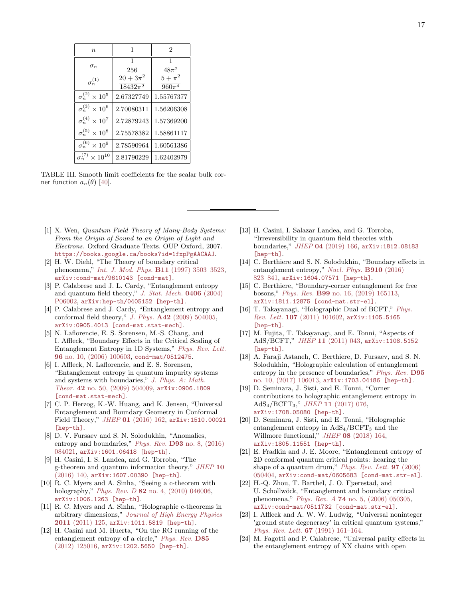| $\boldsymbol{n}$                | 1                             | $\mathfrak{D}$          |  |  |
|---------------------------------|-------------------------------|-------------------------|--|--|
| $\sigma_n$                      | 1<br>256                      | 1<br>$48\pi^2$          |  |  |
| $\sigma_n^{(1)}$                | $20 + 3\pi^2$<br>$18432\pi^2$ | $5+\pi^2$<br>$960\pi^4$ |  |  |
| $\sigma_n^{(2)} \times 10^5$    | 2.67327749                    | 1.55767377              |  |  |
| $\sigma_n^{(3)} \times 10^6$    | 2.70080311                    | 1.56206308              |  |  |
| $\sigma_n^{(4)} \times 10^7$    | 2.72879243                    | 1.57369200              |  |  |
| $\sigma_n^{(5)} \times 10^8$    | 2.75578382                    | 1.58861117              |  |  |
| $\sigma_n^{(6)} \times 10^9$    | 2.78590964                    | 1.60561386              |  |  |
| $\sigma_n^{(7)} \times 10^{10}$ | 2.81790229                    | 1.62402979              |  |  |

<span id="page-16-0"></span>TABLE III. Smooth limit coefficients for the scalar bulk corner function  $a_n(\theta)$  [\[40\]](#page-17-15).

- <span id="page-16-1"></span>[1] X. Wen, Quantum Field Theory of Many-Body Systems: From the Origin of Sound to an Origin of Light and Electrons. Oxford Graduate Texts. OUP Oxford, 2007. <https://books.google.ca/books?id=1fxpPgAACAAJ>.
- <span id="page-16-2"></span>[2] H. W. Diehl, "The Theory of boundary critical phenomena," [Int. J. Mod. Phys.](http://dx.doi.org/10.1142/S0217979297001751) B11 (1997) 3503–3523, [arXiv:cond-mat/9610143 \[cond-mat\]](http://arxiv.org/abs/cond-mat/9610143).
- <span id="page-16-3"></span>[3] P. Calabrese and J. L. Cardy, "Entanglement entropy" and quantum field theory," [J. Stat. Mech.](http://dx.doi.org/10.1088/1742-5468/2004/06/P06002) 0406 (2004) [P06002,](http://dx.doi.org/10.1088/1742-5468/2004/06/P06002) [arXiv:hep-th/0405152 \[hep-th\]](http://arxiv.org/abs/hep-th/0405152).
- <span id="page-16-14"></span>[4] P. Calabrese and J. Cardy, "Entanglement entropy and conformal field theory," J. Phys. A42 [\(2009\) 504005,](http://dx.doi.org/10.1088/1751-8113/42/50/504005) [arXiv:0905.4013 \[cond-mat.stat-mech\]](http://arxiv.org/abs/0905.4013).
- <span id="page-16-17"></span>[5] N. Laflorencie, E. S. Sorensen, M.-S. Chang, and I. Affleck, "Boundary Effects in the Critical Scaling of Entanglement Entropy in 1D Systems," [Phys. Rev. Lett.](http://dx.doi.org/10.1103/PhysRevLett.96.100603) 96 [no. 10, \(2006\) 100603,](http://dx.doi.org/10.1103/PhysRevLett.96.100603) [cond-mat/0512475](http://arxiv.org/abs/cond-mat/0512475).
- <span id="page-16-18"></span>[6] I. Affleck, N. Laflorencie, and E. S. Sorensen, "Entanglement entropy in quantum impurity systems and systems with boundaries," [J. Phys. A: Math.](http://dx.doi.org/10.1088/1751-8113/42/50/504009) Theor. 42 [no. 50, \(2009\) 504009,](http://dx.doi.org/10.1088/1751-8113/42/50/504009) [arXiv:0906.1809](http://arxiv.org/abs/0906.1809) [\[cond-mat.stat-mech\]](http://arxiv.org/abs/0906.1809).
- <span id="page-16-22"></span>[7] C. P. Herzog, K.-W. Huang, and K. Jensen, "Universal Entanglement and Boundary Geometry in Conformal Field Theory," JHEP 01 [\(2016\) 162,](http://dx.doi.org/10.1007/JHEP01(2016)162) [arXiv:1510.00021](http://arxiv.org/abs/1510.00021) [\[hep-th\]](http://arxiv.org/abs/1510.00021).
- <span id="page-16-8"></span>[8] D. V. Fursaev and S. N. Solodukhin, "Anomalies, entropy and boundaries," Phys. Rev. D93 [no. 8, \(2016\)](http://dx.doi.org/10.1103/PhysRevD.93.084021) [084021,](http://dx.doi.org/10.1103/PhysRevD.93.084021) [arXiv:1601.06418 \[hep-th\]](http://arxiv.org/abs/1601.06418).
- <span id="page-16-4"></span>[9] H. Casini, I. S. Landea, and G. Torroba, "The g-theorem and quantum information theory," [JHEP](http://dx.doi.org/10.1007/JHEP10(2016)140) 10 [\(2016\) 140,](http://dx.doi.org/10.1007/JHEP10(2016)140) [arXiv:1607.00390 \[hep-th\]](http://arxiv.org/abs/1607.00390).
- <span id="page-16-5"></span>[10] R. C. Myers and A. Sinha, "Seeing a c-theorem with holography," Phys. Rev. D 82 [no. 4, \(2010\) 046006,](http://dx.doi.org/10.1103/PhysRevD.82.046006) [arXiv:1006.1263 \[hep-th\]](http://arxiv.org/abs/1006.1263).
- [11] R. C. Myers and A. Sinha, "Holographic c-theorems in arbitrary dimensions," [Journal of High Energy Physics](http://dx.doi.org/10.1007/JHEP01(2011)125) 2011 [\(2011\) 125,](http://dx.doi.org/10.1007/JHEP01(2011)125) [arXiv:1011.5819 \[hep-th\]](http://arxiv.org/abs/1011.5819).
- <span id="page-16-6"></span>[12] H. Casini and M. Huerta, "On the RG running of the entanglement entropy of a circle," [Phys. Rev.](http://dx.doi.org/10.1103/PhysRevD.85.125016) D85 [\(2012\) 125016,](http://dx.doi.org/10.1103/PhysRevD.85.125016) [arXiv:1202.5650 \[hep-th\]](http://arxiv.org/abs/1202.5650).
- <span id="page-16-7"></span>[13] H. Casini, I. Salazar Landea, and G. Torroba, "Irreversibility in quantum field theories with boundaries," JHEP 04 [\(2019\) 166,](http://dx.doi.org/10.1007/JHEP04(2019)166) [arXiv:1812.08183](http://arxiv.org/abs/1812.08183) [\[hep-th\]](http://arxiv.org/abs/1812.08183).
- <span id="page-16-9"></span>[14] C. Berthiere and S. N. Solodukhin, "Boundary effects in entanglement entropy," [Nucl. Phys.](http://dx.doi.org/10.1016/j.nuclphysb.2016.07.029) B910 (2016) [823–841,](http://dx.doi.org/10.1016/j.nuclphysb.2016.07.029) [arXiv:1604.07571 \[hep-th\]](http://arxiv.org/abs/1604.07571).
- <span id="page-16-10"></span>[15] C. Berthiere, "Boundary-corner entanglement for free bosons," Phys. Rev. B99 [no. 16, \(2019\) 165113,](http://dx.doi.org/10.1103/PhysRevB.99.165113) [arXiv:1811.12875 \[cond-mat.str-el\]](http://arxiv.org/abs/1811.12875).
- <span id="page-16-11"></span>[16] T. Takayanagi, "Holographic Dual of BCFT," [Phys.](http://dx.doi.org/10.1103/PhysRevLett.107.101602) Rev. Lett. 107 [\(2011\) 101602,](http://dx.doi.org/10.1103/PhysRevLett.107.101602) arXiv: 1105.5165 [\[hep-th\]](http://arxiv.org/abs/1105.5165).
- [17] M. Fujita, T. Takayanagi, and E. Tonni, "Aspects of AdS/BCFT," JHEP 11 [\(2011\) 043,](http://dx.doi.org/10.1007/JHEP11(2011)043) [arXiv:1108.5152](http://arxiv.org/abs/1108.5152) [\[hep-th\]](http://arxiv.org/abs/1108.5152).
- <span id="page-16-20"></span>[18] A. Faraji Astaneh, C. Berthiere, D. Fursaev, and S. N. Solodukhin, "Holographic calculation of entanglement entropy in the presence of boundaries," [Phys. Rev.](http://dx.doi.org/10.1103/PhysRevD.95.106013) D95 [no. 10, \(2017\) 106013,](http://dx.doi.org/10.1103/PhysRevD.95.106013) [arXiv:1703.04186 \[hep-th\]](http://arxiv.org/abs/1703.04186).
- <span id="page-16-21"></span>[19] D. Seminara, J. Sisti, and E. Tonni, "Corner contributions to holographic entanglement entropy in  $AdS_4/BCFT_3$ ," *JHEP* 11 [\(2017\) 076,](http://dx.doi.org/10.1007/JHEP11(2017)076) [arXiv:1708.05080 \[hep-th\]](http://arxiv.org/abs/1708.05080).
- <span id="page-16-12"></span>[20] D. Seminara, J. Sisti, and E. Tonni, "Holographic entanglement entropy in  $AdS_4/BCFT_3$  and the Willmore functional," JHEP 08 [\(2018\) 164,](http://dx.doi.org/10.1007/JHEP08(2018)164) [arXiv:1805.11551 \[hep-th\]](http://arxiv.org/abs/1805.11551).
- <span id="page-16-13"></span>[21] E. Fradkin and J. E. Moore, "Entanglement entropy of 2D conformal quantum critical points: hearing the shape of a quantum drum," [Phys. Rev. Lett.](http://dx.doi.org/10.1103/PhysRevLett.97.050404) 97 (2006) [050404,](http://dx.doi.org/10.1103/PhysRevLett.97.050404) [arXiv:cond-mat/0605683 \[cond-mat.str-el\]](http://arxiv.org/abs/cond-mat/0605683).
- <span id="page-16-15"></span>[22] H.-Q. Zhou, T. Barthel, J. O. Fjærestad, and U. Schollwöck, "Entanglement and boundary critical phenomena," Phys. Rev. A 74 [no. 5, \(2006\) 050305,](http://dx.doi.org/10.1103/PhysRevA.74.050305) [arXiv:cond-mat/0511732 \[cond-mat.str-el\]](http://arxiv.org/abs/cond-mat/0511732).
- <span id="page-16-16"></span>[23] I. Affleck and A. W. W. Ludwig, "Universal noninteger 'ground state degeneracy' in critical quantum systems," [Phys. Rev. Lett.](http://dx.doi.org/10.1103/PhysRevLett.67.161) **67** (1991) 161-164.
- <span id="page-16-19"></span>[24] M. Fagotti and P. Calabrese, "Universal parity effects in the entanglement entropy of XX chains with open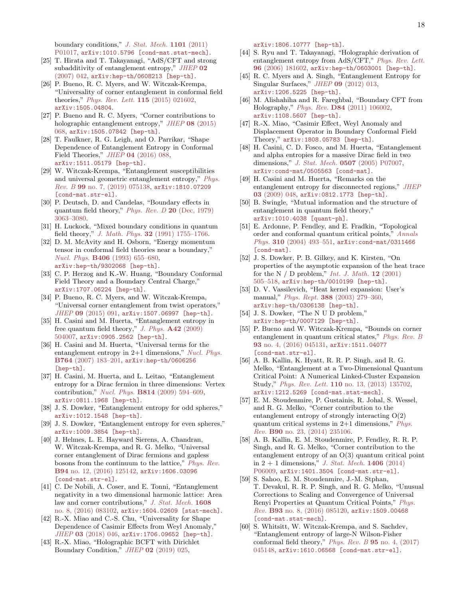boundary conditions," [J. Stat. Mech.](http://dx.doi.org/10.1088/1742-5468/2011/01/P01017) 1101 (2011) [P01017,](http://dx.doi.org/10.1088/1742-5468/2011/01/P01017) [arXiv:1010.5796 \[cond-mat.stat-mech\]](http://arxiv.org/abs/1010.5796).

- <span id="page-17-0"></span>[25] T. Hirata and T. Takayanagi, "AdS/CFT and strong subadditivity of entanglement entropy," [JHEP](http://dx.doi.org/10.1088/1126-6708/2007/02/042) 02 [\(2007\) 042,](http://dx.doi.org/10.1088/1126-6708/2007/02/042) [arXiv:hep-th/0608213 \[hep-th\]](http://arxiv.org/abs/hep-th/0608213).
- <span id="page-17-1"></span>[26] P. Bueno, R. C. Myers, and W. Witczak-Krempa, "Universality of corner entanglement in conformal field theories," [Phys. Rev. Lett.](http://dx.doi.org/10.1103/PhysRevLett.115.021602) 115 (2015) 021602, [arXiv:1505.04804](http://arxiv.org/abs/1505.04804).
- <span id="page-17-2"></span>[27] P. Bueno and R. C. Myers, "Corner contributions to holographic entanglement entropy," JHEP 08 [\(2015\)](http://dx.doi.org/10.1007/JHEP08(2015)068) [068,](http://dx.doi.org/10.1007/JHEP08(2015)068) [arXiv:1505.07842 \[hep-th\]](http://arxiv.org/abs/1505.07842).
- <span id="page-17-3"></span>[28] T. Faulkner, R. G. Leigh, and O. Parrikar, "Shape Dependence of Entanglement Entropy in Conformal Field Theories," JHEP 04 [\(2016\) 088,](http://dx.doi.org/10.1007/JHEP04(2016)088) [arXiv:1511.05179 \[hep-th\]](http://arxiv.org/abs/1511.05179).
- <span id="page-17-4"></span>[29] W. Witczak-Krempa, "Entanglement susceptibilities and universal geometric entanglement entropy," [Phys.](http://dx.doi.org/10.1103/PhysRevB.99.075138) Rev. B 99 [no. 7, \(2019\) 075138,](http://dx.doi.org/10.1103/PhysRevB.99.075138) [arXiv:1810.07209](http://arxiv.org/abs/1810.07209) [\[cond-mat.str-el\]](http://arxiv.org/abs/1810.07209).
- <span id="page-17-5"></span>[30] P. Deutsch, D. and Candelas, "Boundary effects in quantum field theory," [Phys. Rev. D](http://dx.doi.org/10.1103/PhysRevD.20.3063) 20 (Dec, 1979) [3063–3080.](http://dx.doi.org/10.1103/PhysRevD.20.3063)
- <span id="page-17-6"></span>[31] H. Luckock, "Mixed boundary conditions in quantum field theory," J. Math. Phys. 32 [\(1991\) 1755–1766.](http://dx.doi.org/10.1063/1.529238)
- <span id="page-17-7"></span>[32] D. M. McAvity and H. Osborn, "Energy momentum tensor in conformal field theories near a boundary," Nucl. Phys. B406 [\(1993\) 655–680,](http://dx.doi.org/10.1016/0550-3213(93)90005-A) [arXiv:hep-th/9302068 \[hep-th\]](http://arxiv.org/abs/hep-th/9302068).
- <span id="page-17-8"></span>[33] C. P. Herzog and K.-W. Huang, "Boundary Conformal Field Theory and a Boundary Central Charge," [arXiv:1707.06224 \[hep-th\]](http://arxiv.org/abs/1707.06224).
- <span id="page-17-9"></span>[34] P. Bueno, R. C. Myers, and W. Witczak-Krempa, "Universal corner entanglement from twist operators," JHEP 09 [\(2015\) 091,](http://dx.doi.org/10.1007/JHEP09(2015)091) [arXiv:1507.06997 \[hep-th\]](http://arxiv.org/abs/1507.06997).
- <span id="page-17-10"></span>[35] H. Casini and M. Huerta, "Entanglement entropy in free quantum field theory," [J. Phys.](http://dx.doi.org/10.1088/1751-8113/42/50/504007) A42 (2009) [504007,](http://dx.doi.org/10.1088/1751-8113/42/50/504007) [arXiv:0905.2562 \[hep-th\]](http://arxiv.org/abs/0905.2562).
- <span id="page-17-11"></span>[36] H. Casini and M. Huerta, "Universal terms for the entanglement entropy in 2+1 dimensions," [Nucl. Phys.](http://dx.doi.org/10.1016/j.nuclphysb.2006.12.012) B764 [\(2007\) 183–201,](http://dx.doi.org/10.1016/j.nuclphysb.2006.12.012) [arXiv:hep-th/0606256](http://arxiv.org/abs/hep-th/0606256) [\[hep-th\]](http://arxiv.org/abs/hep-th/0606256).
- <span id="page-17-12"></span>[37] H. Casini, M. Huerta, and L. Leitao, "Entanglement entropy for a Dirac fermion in three dimensions: Vertex contribution," Nucl. Phys. B814 [\(2009\) 594–609,](http://dx.doi.org/10.1016/j.nuclphysb.2009.02.003) [arXiv:0811.1968 \[hep-th\]](http://arxiv.org/abs/0811.1968).
- <span id="page-17-13"></span>[38] J. S. Dowker, "Entanglement entropy for odd spheres," [arXiv:1012.1548 \[hep-th\]](http://arxiv.org/abs/1012.1548).
- <span id="page-17-14"></span>[39] J. S. Dowker, "Entanglement entropy for even spheres," [arXiv:1009.3854 \[hep-th\]](http://arxiv.org/abs/1009.3854).
- <span id="page-17-15"></span>[40] J. Helmes, L. E. Hayward Sierens, A. Chandran, W. Witczak-Krempa, and R. G. Melko, "Universal corner entanglement of Dirac fermions and gapless bosons from the continuum to the lattice," [Phys. Rev.](http://dx.doi.org/10.1103/PhysRevB.94.125142) B94 [no. 12, \(2016\) 125142,](http://dx.doi.org/10.1103/PhysRevB.94.125142) [arXiv:1606.03096](http://arxiv.org/abs/1606.03096) [\[cond-mat.str-el\]](http://arxiv.org/abs/1606.03096).
- <span id="page-17-16"></span>[41] C. De Nobili, A. Coser, and E. Tonni, "Entanglement negativity in a two dimensional harmonic lattice: Area law and corner contributions," [J. Stat. Mech.](http://dx.doi.org/10.1088/1742-5468/2016/08/083102) 1608 [no. 8, \(2016\) 083102,](http://dx.doi.org/10.1088/1742-5468/2016/08/083102) [arXiv:1604.02609 \[stat-mech\]](http://arxiv.org/abs/1604.02609).
- <span id="page-17-17"></span>[42] R.-X. Miao and C.-S. Chu, "Universality for Shape Dependence of Casimir Effects from Weyl Anomaly," JHEP 03 [\(2018\) 046,](http://dx.doi.org/10.1007/JHEP03(2018)046) [arXiv:1706.09652 \[hep-th\]](http://arxiv.org/abs/1706.09652).
- <span id="page-17-18"></span>[43] R.-X. Miao, "Holographic BCFT with Dirichlet Boundary Condition," JHEP 02 [\(2019\) 025,](http://dx.doi.org/10.1007/JHEP02(2019)025)

[arXiv:1806.10777 \[hep-th\]](http://arxiv.org/abs/1806.10777).

- <span id="page-17-19"></span>[44] S. Ryu and T. Takayanagi, "Holographic derivation of entanglement entropy from AdS/CFT," [Phys. Rev. Lett.](http://dx.doi.org/10.1103/PhysRevLett.96.181602) 96 [\(2006\) 181602,](http://dx.doi.org/10.1103/PhysRevLett.96.181602) [arXiv:hep-th/0603001 \[hep-th\]](http://arxiv.org/abs/hep-th/0603001).
- <span id="page-17-20"></span>[45] R. C. Myers and A. Singh, "Entanglement Entropy for Singular Surfaces," JHEP 09 [\(2012\) 013,](http://dx.doi.org/10.1007/JHEP09(2012)013) [arXiv:1206.5225 \[hep-th\]](http://arxiv.org/abs/1206.5225).
- <span id="page-17-21"></span>[46] M. Alishahiha and R. Fareghbal, "Boundary CFT from Holography," Phys. Rev. D84 [\(2011\) 106002,](http://dx.doi.org/10.1103/PhysRevD.84.106002) [arXiv:1108.5607 \[hep-th\]](http://arxiv.org/abs/1108.5607).
- <span id="page-17-22"></span>[47] R.-X. Miao, "Casimir Effect, Weyl Anomaly and Displacement Operator in Boundary Conformal Field Theory," [arXiv:1808.05783 \[hep-th\]](http://arxiv.org/abs/1808.05783).
- <span id="page-17-23"></span>[48] H. Casini, C. D. Fosco, and M. Huerta, "Entanglement and alpha entropies for a massive Dirac field in two dimensions," J. Stat. Mech. 0507 [\(2005\) P07007,](http://dx.doi.org/10.1088/1742-5468/2005/07/P07007) [arXiv:cond-mat/0505563 \[cond-mat\]](http://arxiv.org/abs/cond-mat/0505563).
- <span id="page-17-25"></span>[49] H. Casini and M. Huerta, "Remarks on the entanglement entropy for disconnected regions," [JHEP](http://dx.doi.org/10.1088/1126-6708/2009/03/048) 03 [\(2009\) 048,](http://dx.doi.org/10.1088/1126-6708/2009/03/048) [arXiv:0812.1773 \[hep-th\]](http://arxiv.org/abs/0812.1773).
- <span id="page-17-24"></span>[50] B. Swingle, "Mutual information and the structure of entanglement in quantum field theory," [arXiv:1010.4038 \[quant-ph\]](http://arxiv.org/abs/1010.4038).
- <span id="page-17-26"></span>[51] E. Ardonne, P. Fendley, and E. Fradkin, "Topological order and conformal quantum critical points," [Annals](http://dx.doi.org/10.1016/j.aop.2004.01.004) Phys. 310 [\(2004\) 493–551,](http://dx.doi.org/10.1016/j.aop.2004.01.004) [arXiv:cond-mat/0311466](http://arxiv.org/abs/cond-mat/0311466) [\[cond-mat\]](http://arxiv.org/abs/cond-mat/0311466).
- <span id="page-17-27"></span>[52] J. S. Dowker, P. B. Gilkey, and K. Kirsten, "On properties of the asymptotic expansion of the heat trace for the N  $/$  D problem," *[Int. J. Math.](http://dx.doi.org/10.1142/S0129167X01000927)* **12** (2001) [505–518,](http://dx.doi.org/10.1142/S0129167X01000927) [arXiv:hep-th/0010199 \[hep-th\]](http://arxiv.org/abs/hep-th/0010199).
- <span id="page-17-28"></span>[53] D. V. Vassilevich, "Heat kernel expansion: User's manual," Phys. Rept. 388 [\(2003\) 279–360,](http://dx.doi.org/10.1016/j.physrep.2003.09.002) [arXiv:hep-th/0306138 \[hep-th\]](http://arxiv.org/abs/hep-th/0306138).
- <span id="page-17-29"></span>[54] J. S. Dowker, "The N U D problem," [arXiv:hep-th/0007129 \[hep-th\]](http://arxiv.org/abs/hep-th/0007129).
- <span id="page-17-30"></span>[55] P. Bueno and W. Witczak-Krempa, "Bounds on corner entanglement in quantum critical states," [Phys. Rev. B](http://dx.doi.org/10.1103/PhysRevB.93.045131) 93 [no. 4, \(2016\) 045131,](http://dx.doi.org/10.1103/PhysRevB.93.045131) [arXiv:1511.04077](http://arxiv.org/abs/1511.04077) [\[cond-mat.str-el\]](http://arxiv.org/abs/1511.04077).
- <span id="page-17-31"></span>[56] A. B. Kallin, K. Hyatt, R. R. P. Singh, and R. G. Melko, "Entanglement at a Two-Dimensional Quantum Critical Point: A Numerical Linked-Cluster Expansion Study," Phys. Rev. Lett. 110 [no. 13, \(2013\) 135702,](http://dx.doi.org/10.1103/PhysRevLett.110.135702) [arXiv:1212.5269 \[cond-mat.stat-mech\]](http://arxiv.org/abs/1212.5269).
- [57] E. M. Stoudenmire, P. Gustainis, R. Johal, S. Wessel, and R. G. Melko, "Corner contribution to the entanglement entropy of strongly interacting O(2) quantum critical systems in  $2+1$  dimensions," *[Phys.](http://dx.doi.org/10.1103/PhysRevB.90.235106)* Rev. B90 [no. 23, \(2014\) 235106.](http://dx.doi.org/10.1103/PhysRevB.90.235106)
- [58] A. B. Kallin, E. M. Stoudenmire, P. Fendley, R. R. P. Singh, and R. G. Melko, "Corner contribution to the entanglement entropy of an O(3) quantum critical point in  $2 + 1$  dimensions," *[J. Stat. Mech.](http://dx.doi.org/10.1088/1742-5468/2014/06/P06009)* **1406** (2014) [P06009,](http://dx.doi.org/10.1088/1742-5468/2014/06/P06009) [arXiv:1401.3504 \[cond-mat.str-el\]](http://arxiv.org/abs/1401.3504).
- <span id="page-17-32"></span>[59] S. Sahoo, E. M. Stoudenmire, J.-M. Stphan, T. Devakul, R. R. P. Singh, and R. G. Melko, "Unusual Corrections to Scaling and Convergence of Universal Renyi Properties at Quantum Critical Points," [Phys.](http://dx.doi.org/10.1103/PhysRevB.93.085120) Rev. B93 [no. 8, \(2016\) 085120,](http://dx.doi.org/10.1103/PhysRevB.93.085120) [arXiv:1509.00468](http://arxiv.org/abs/1509.00468) [\[cond-mat.stat-mech\]](http://arxiv.org/abs/1509.00468).
- <span id="page-17-33"></span>[60] S. Whitsitt, W. Witczak-Krempa, and S. Sachdev, "Entanglement entropy of large-N Wilson-Fisher conformal field theory," [Phys. Rev. B](http://dx.doi.org/10.1103/PhysRevB.95.045148) 95 no. 4, (2017) [045148,](http://dx.doi.org/10.1103/PhysRevB.95.045148) [arXiv:1610.06568 \[cond-mat.str-el\]](http://arxiv.org/abs/1610.06568).